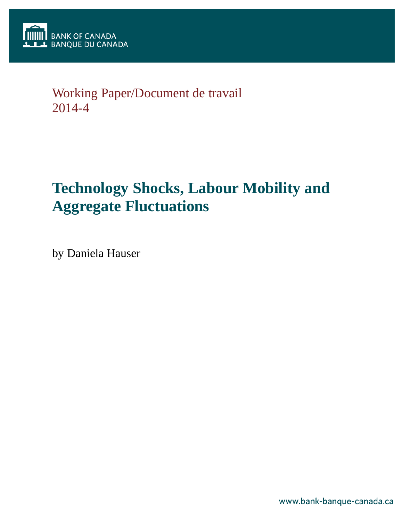

# Working Paper/Document de travail 2014-4

# **Technology Shocks, Labour Mobility and Aggregate Fluctuations**

by Daniela Hauser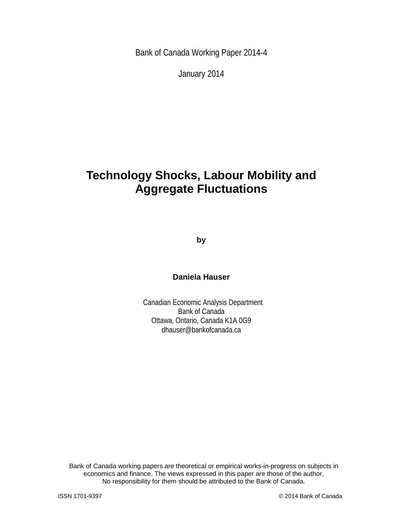Bank of Canada Working Paper 2014-4

January 2014

# **Technology Shocks, Labour Mobility and Aggregate Fluctuations**

**by**

### **Daniela Hauser**

Canadian Economic Analysis Department Bank of Canada Ottawa, Ontario, Canada K1A 0G9 dhauser@bankofcanada.ca

Bank of Canada working papers are theoretical or empirical works-in-progress on subjects in economics and finance. The views expressed in this paper are those of the author. No responsibility for them should be attributed to the Bank of Canada.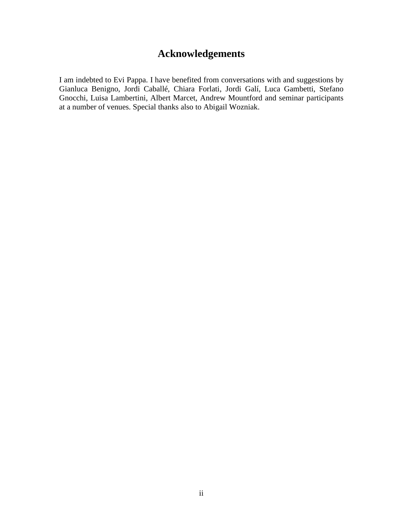# **Acknowledgements**

I am indebted to Evi Pappa. I have benefited from conversations with and suggestions by Gianluca Benigno, Jordi Caballé, Chiara Forlati, Jordi Galí, Luca Gambetti, Stefano Gnocchi, Luisa Lambertini, Albert Marcet, Andrew Mountford and seminar participants at a number of venues. Special thanks also to Abigail Wozniak.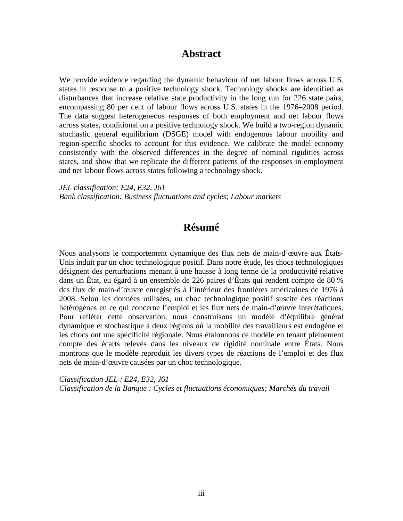### **Abstract**

We provide evidence regarding the dynamic behaviour of net labour flows across U.S. states in response to a positive technology shock. Technology shocks are identified as disturbances that increase relative state productivity in the long run for 226 state pairs, encompassing 80 per cent of labour flows across U.S. states in the 1976–2008 period. The data suggest heterogeneous responses of both employment and net labour flows across states, conditional on a positive technology shock. We build a two-region dynamic stochastic general equilibrium (DSGE) model with endogenous labour mobility and region-specific shocks to account for this evidence. We calibrate the model economy consistently with the observed differences in the degree of nominal rigidities across states, and show that we replicate the different patterns of the responses in employment and net labour flows across states following a technology shock.

*JEL classification: E24, E32, J61 Bank classification: Business fluctuations and cycles; Labour markets*

## **Résumé**

Nous analysons le comportement dynamique des flux nets de main-d'œuvre aux États-Unis induit par un choc technologique positif. Dans notre étude, les chocs technologiques désignent des perturbations menant à une hausse à long terme de la productivité relative dans un État, eu égard à un ensemble de 226 paires d'États qui rendent compte de 80 % des flux de main-d'œuvre enregistrés à l'intérieur des frontières américaines de 1976 à 2008. Selon les données utilisées, un choc technologique positif suscite des réactions hétérogènes en ce qui concerne l'emploi et les flux nets de main-d'œuvre interétatiques. Pour refléter cette observation, nous construisons un modèle d'équilibre général dynamique et stochastique à deux régions où la mobilité des travailleurs est endogène et les chocs ont une spécificité régionale. Nous étalonnons ce modèle en tenant pleinement compte des écarts relevés dans les niveaux de rigidité nominale entre États. Nous montrons que le modèle reproduit les divers types de réactions de l'emploi et des flux nets de main-d'œuvre causées par un choc technologique.

*Classification JEL : E24, E32, J61 Classification de la Banque : Cycles et fluctuations économiques; Marchés du travail*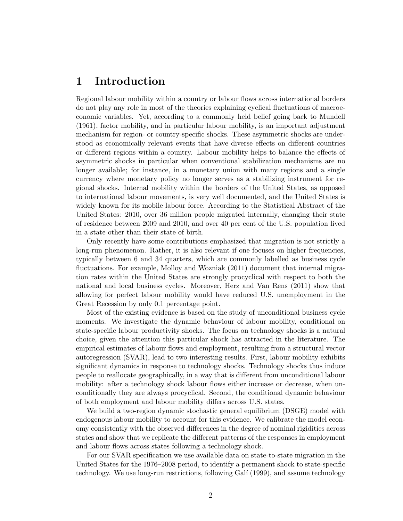# 1 Introduction

Regional labour mobility within a country or labour flows across international borders do not play any role in most of the theories explaining cyclical fluctuations of macroeconomic variables. Yet, according to a commonly held belief going back to Mundell (1961), factor mobility, and in particular labour mobility, is an important adjustment mechanism for region- or country-specific shocks. These asymmetric shocks are understood as economically relevant events that have diverse effects on different countries or different regions within a country. Labour mobility helps to balance the effects of asymmetric shocks in particular when conventional stabilization mechanisms are no longer available; for instance, in a monetary union with many regions and a single currency where monetary policy no longer serves as a stabilizing instrument for regional shocks. Internal mobility within the borders of the United States, as opposed to international labour movements, is very well documented, and the United States is widely known for its mobile labour force. According to the Statistical Abstract of the United States: 2010, over 36 million people migrated internally, changing their state of residence between 2009 and 2010, and over 40 per cent of the U.S. population lived in a state other than their state of birth.

Only recently have some contributions emphasized that migration is not strictly a long-run phenomenon. Rather, it is also relevant if one focuses on higher frequencies, typically between 6 and 34 quarters, which are commonly labelled as business cycle fluctuations. For example, Molloy and Wozniak (2011) document that internal migration rates within the United States are strongly procyclical with respect to both the national and local business cycles. Moreover, Herz and Van Rens (2011) show that allowing for perfect labour mobility would have reduced U.S. unemployment in the Great Recession by only 0.1 percentage point.

Most of the existing evidence is based on the study of unconditional business cycle moments. We investigate the dynamic behaviour of labour mobility, conditional on state-specific labour productivity shocks. The focus on technology shocks is a natural choice, given the attention this particular shock has attracted in the literature. The empirical estimates of labour flows and employment, resulting from a structural vector autoregression (SVAR), lead to two interesting results. First, labour mobility exhibits significant dynamics in response to technology shocks. Technology shocks thus induce people to reallocate geographically, in a way that is different from unconditional labour mobility: after a technology shock labour flows either increase or decrease, when unconditionally they are always procyclical. Second, the conditional dynamic behaviour of both employment and labour mobility differs across U.S. states.

We build a two-region dynamic stochastic general equilibrium (DSGE) model with endogenous labour mobility to account for this evidence. We calibrate the model economy consistently with the observed differences in the degree of nominal rigidities across states and show that we replicate the different patterns of the responses in employment and labour flows across states following a technology shock.

For our SVAR specification we use available data on state-to-state migration in the United States for the 1976–2008 period, to identify a permanent shock to state-specific technology. We use long-run restrictions, following Galí (1999), and assume technology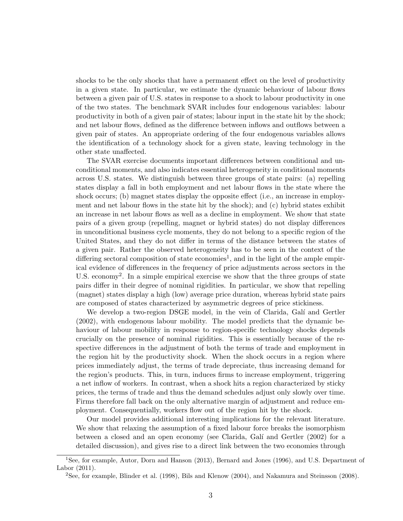shocks to be the only shocks that have a permanent effect on the level of productivity in a given state. In particular, we estimate the dynamic behaviour of labour flows between a given pair of U.S. states in response to a shock to labour productivity in one of the two states. The benchmark SVAR includes four endogenous variables: labour productivity in both of a given pair of states; labour input in the state hit by the shock; and net labour flows, defined as the difference between inflows and outflows between a given pair of states. An appropriate ordering of the four endogenous variables allows the identification of a technology shock for a given state, leaving technology in the other state unaffected.

The SVAR exercise documents important differences between conditional and unconditional moments, and also indicates essential heterogeneity in conditional moments across U.S. states. We distinguish between three groups of state pairs: (a) repelling states display a fall in both employment and net labour flows in the state where the shock occurs; (b) magnet states display the opposite effect (i.e., an increase in employment and net labour flows in the state hit by the shock); and (c) hybrid states exhibit an increase in net labour flows as well as a decline in employment. We show that state pairs of a given group (repelling, magnet or hybrid states) do not display differences in unconditional business cycle moments, they do not belong to a specific region of the United States, and they do not differ in terms of the distance between the states of a given pair. Rather the observed heterogeneity has to be seen in the context of the differing sectoral composition of state economies<sup>1</sup>, and in the light of the ample empirical evidence of differences in the frequency of price adjustments across sectors in the U.S. economy<sup>2</sup>. In a simple empirical exercise we show that the three groups of state pairs differ in their degree of nominal rigidities. In particular, we show that repelling (magnet) states display a high (low) average price duration, whereas hybrid state pairs are composed of states characterized by asymmetric degrees of price stickiness.

We develop a two-region DSGE model, in the vein of Clarida, Galí and Gertler (2002), with endogenous labour mobility. The model predicts that the dynamic behaviour of labour mobility in response to region-specific technology shocks depends crucially on the presence of nominal rigidities. This is essentially because of the respective differences in the adjustment of both the terms of trade and employment in the region hit by the productivity shock. When the shock occurs in a region where prices immediately adjust, the terms of trade depreciate, thus increasing demand for the region's products. This, in turn, induces firms to increase employment, triggering a net inflow of workers. In contrast, when a shock hits a region characterized by sticky prices, the terms of trade and thus the demand schedules adjust only slowly over time. Firms therefore fall back on the only alternative margin of adjustment and reduce employment. Consequentially, workers flow out of the region hit by the shock.

Our model provides additional interesting implications for the relevant literature. We show that relaxing the assumption of a fixed labour force breaks the isomorphism between a closed and an open economy (see Clarida, Galí and Gertler (2002) for a detailed discussion), and gives rise to a direct link between the two economies through

<sup>1</sup>See, for example, Autor, Dorn and Hanson (2013), Bernard and Jones (1996), and U.S. Department of Labor (2011).

<sup>2</sup>See, for example, Blinder et al. (1998), Bils and Klenow (2004), and Nakamura and Steinsson (2008).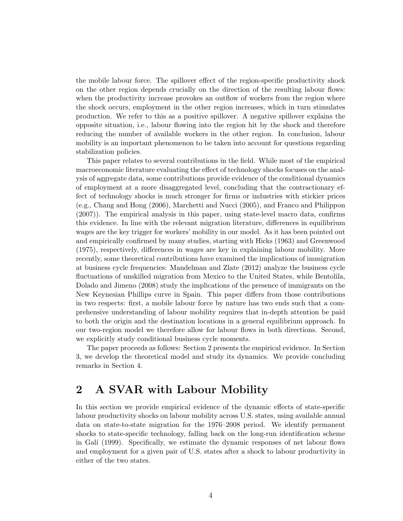the mobile labour force. The spillover effect of the region-specific productivity shock on the other region depends crucially on the direction of the resulting labour flows: when the productivity increase provokes an outflow of workers from the region where the shock occurs, employment in the other region increases, which in turn stimulates production. We refer to this as a positive spillover. A negative spillover explains the opposite situation, i.e., labour flowing into the region hit by the shock and therefore reducing the number of available workers in the other region. In conclusion, labour mobility is an important phenomenon to be taken into account for questions regarding stabilization policies.

This paper relates to several contributions in the field. While most of the empirical macroeconomic literature evaluating the effect of technology shocks focuses on the analysis of aggregate data, some contributions provide evidence of the conditional dynamics of employment at a more disaggregated level, concluding that the contractionary effect of technology shocks is much stronger for firms or industries with stickier prices (e.g., Chang and Hong (2006), Marchetti and Nucci (2005), and Franco and Philippon (2007)). The empirical analysis in this paper, using state-level macro data, confirms this evidence. In line with the relevant migration literature, differences in equilibrium wages are the key trigger for workers' mobility in our model. As it has been pointed out and empirically confirmed by many studies, starting with Hicks (1963) and Greenwood (1975), respectively, differences in wages are key in explaining labour mobility. More recently, some theoretical contributions have examined the implications of immigration at business cycle frequencies: Mandelman and Zlate (2012) analyze the business cycle fluctuations of unskilled migration from Mexico to the United States, while Bentolila, Dolado and Jimeno (2008) study the implications of the presence of immigrants on the New Keynesian Phillips curve in Spain. This paper differs from those contributions in two respects: first, a mobile labour force by nature has two ends such that a comprehensive understanding of labour mobility requires that in-depth attention be paid to both the origin and the destination locations in a general equilibrium approach. In our two-region model we therefore allow for labour flows in both directions. Second, we explicitly study conditional business cycle moments.

The paper proceeds as follows: Section 2 presents the empirical evidence. In Section 3, we develop the theoretical model and study its dynamics. We provide concluding remarks in Section 4.

# 2 A SVAR with Labour Mobility

In this section we provide empirical evidence of the dynamic effects of state-specific labour productivity shocks on labour mobility across U.S. states, using available annual data on state-to-state migration for the 1976–2008 period. We identify permanent shocks to state-specific technology, falling back on the long-run identification scheme in Galí (1999). Specifically, we estimate the dynamic responses of net labour flows and employment for a given pair of U.S. states after a shock to labour productivity in either of the two states.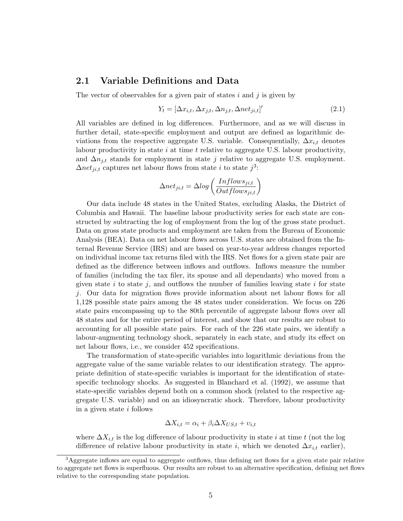#### 2.1 Variable Definitions and Data

The vector of observables for a given pair of states  $i$  and  $j$  is given by

$$
Y_t = [\Delta x_{i,t}, \Delta x_{j,t}, \Delta n_{j,t}, \Delta n e_{j i,t}]'
$$
\n(2.1)

All variables are defined in log differences. Furthermore, and as we will discuss in further detail, state-specific employment and output are defined as logarithmic deviations from the respective aggregate U.S. variable. Consequentially,  $\Delta x_{i,t}$  denotes labour productivity in state  $i$  at time  $t$  relative to aggregate U.S. labour productivity, and  $\Delta n_{j,t}$  stands for employment in state j relative to aggregate U.S. employment.  $\Delta net_{ji,t}$  captures net labour flows from state *i* to state  $j^3$ :

$$
\Delta net_{ji,t} = \Delta log \left( \frac{Inflows_{ji,t}}{Outflows_{ji,t}} \right)
$$

Our data include 48 states in the United States, excluding Alaska, the District of Columbia and Hawaii. The baseline labour productivity series for each state are constructed by subtracting the log of employment from the log of the gross state product. Data on gross state products and employment are taken from the Bureau of Economic Analysis (BEA). Data on net labour flows across U.S. states are obtained from the Internal Revenue Service (IRS) and are based on year-to-year address changes reported on individual income tax returns filed with the IRS. Net flows for a given state pair are defined as the difference between inflows and outflows. Inflows measure the number of families (including the tax filer, its spouse and all dependants) who moved from a given state i to state j, and outflows the number of families leaving state i for state j. Our data for migration flows provide information about net labour flows for all 1,128 possible state pairs among the 48 states under consideration. We focus on 226 state pairs encompassing up to the 80th percentile of aggregate labour flows over all 48 states and for the entire period of interest, and show that our results are robust to accounting for all possible state pairs. For each of the 226 state pairs, we identify a labour-augmenting technology shock, separately in each state, and study its effect on net labour flows, i.e., we consider 452 specifications.

The transformation of state-specific variables into logarithmic deviations from the aggregate value of the same variable relates to our identification strategy. The appropriate definition of state-specific variables is important for the identification of statespecific technology shocks. As suggested in Blanchard et al. (1992), we assume that state-specific variables depend both on a common shock (related to the respective aggregate U.S. variable) and on an idiosyncratic shock. Therefore, labour productivity in a given state  $i$  follows

$$
\Delta X_{i,t} = \alpha_i + \beta_i \Delta X_{US,t} + v_{i,t}
$$

where  $\Delta X_{i,t}$  is the log difference of labour productivity in state i at time t (not the log difference of relative labour productivity in state i, which we denoted  $\Delta x_{i,t}$  earlier),

<sup>3</sup>Aggregate inflows are equal to aggregate outflows, thus defining net flows for a given state pair relative to aggregate net flows is superfluous. Our results are robust to an alternative specification, defining net flows relative to the corresponding state population.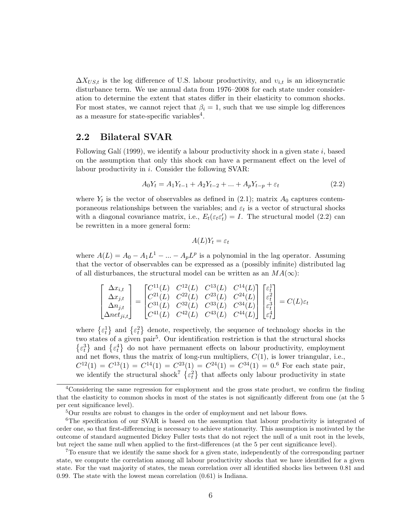$\Delta X_{US,t}$  is the log difference of U.S. labour productivity, and  $v_{i,t}$  is an idiosyncratic disturbance term. We use annual data from 1976–2008 for each state under consideration to determine the extent that states differ in their elasticity to common shocks. For most states, we cannot reject that  $\beta_i = 1$ , such that we use simple log differences as a measure for state-specific variables<sup>4</sup>.

#### 2.2 Bilateral SVAR

Following Galí (1999), we identify a labour productivity shock in a given state  $i$ , based on the assumption that only this shock can have a permanent effect on the level of labour productivity in i. Consider the following SVAR:

$$
A_0 Y_t = A_1 Y_{t-1} + A_2 Y_{t-2} + \dots + A_p Y_{t-p} + \varepsilon_t \tag{2.2}
$$

where  $Y_t$  is the vector of observables as defined in  $(2.1)$ ; matrix  $A_0$  captures contemporaneous relationships between the variables; and  $\varepsilon_t$  is a vector of structural shocks with a diagonal covariance matrix, i.e.,  $E_t(\varepsilon_t \varepsilon_t') = I$ . The structural model (2.2) can be rewritten in a more general form:

$$
A(L)Y_t = \varepsilon_t
$$

where  $A(L) = A_0 - A_1 L^1 - ... - A_p L^p$  is a polynomial in the lag operator. Assuming that the vector of observables can be expressed as a (possibly infinite) distributed lag of all disturbances, the structural model can be written as an  $MA(\infty)$ :

$$
\begin{bmatrix}\n\Delta x_{i,t} \\
\Delta x_{j,t} \\
\Delta n_{j,t} \\
\Delta net_{j,t}\n\end{bmatrix} = \begin{bmatrix}\nC^{11}(L) & C^{12}(L) & C^{13}(L) & C^{14}(L) \\
C^{21}(L) & C^{22}(L) & C^{23}(L) & C^{24}(L) \\
C^{31}(L) & C^{32}(L) & C^{33}(L) & C^{34}(L) \\
C^{41}(L) & C^{42}(L) & C^{43}(L) & C^{44}(L)\n\end{bmatrix} \begin{bmatrix}\n\varepsilon_t^1 \\
\varepsilon_t^2 \\
\varepsilon_t^3 \\
\varepsilon_t^4\n\end{bmatrix} = C(L)\varepsilon_t
$$

where  $\{\varepsilon_t^1\}$  and  $\{\varepsilon_t^2\}$  denote, respectively, the sequence of technology shocks in the two states of a given pair<sup>5</sup>. Our identification restriction is that the structural shocks  $\{\varepsilon_t^3\}$  and  $\{\varepsilon_t^4\}$  do not have permanent effects on labour productivity, employment and net flows, thus the matrix of long-run multipliers,  $C(1)$ , is lower triangular, i.e.,  $C^{12}(1) = C^{13}(1) = C^{14}(1) = C^{23}(1) = C^{24}(1) = C^{34}(1) = 0.6$  For each state pair, we identify the structural shock<sup>7</sup>  $\{\varepsilon_t^2\}$  that affects only labour productivity in state

<sup>4</sup>Considering the same regression for employment and the gross state product, we confirm the finding that the elasticity to common shocks in most of the states is not significantly different from one (at the 5 per cent significance level).

<sup>&</sup>lt;sup>5</sup>Our results are robust to changes in the order of employment and net labour flows.

<sup>&</sup>lt;sup>6</sup>The specification of our SVAR is based on the assumption that labour productivity is integrated of order one, so that first-differencing is necessary to achieve stationarity. This assumption is motivated by the outcome of standard augmented Dickey Fuller tests that do not reject the null of a unit root in the levels, but reject the same null when applied to the first-differences (at the 5 per cent significance level).

<sup>7</sup>To ensure that we identify the same shock for a given state, independently of the corresponding partner state, we compute the correlation among all labour productivity shocks that we have identified for a given state. For the vast majority of states, the mean correlation over all identified shocks lies between 0.81 and 0.99. The state with the lowest mean correlation (0.61) is Indiana.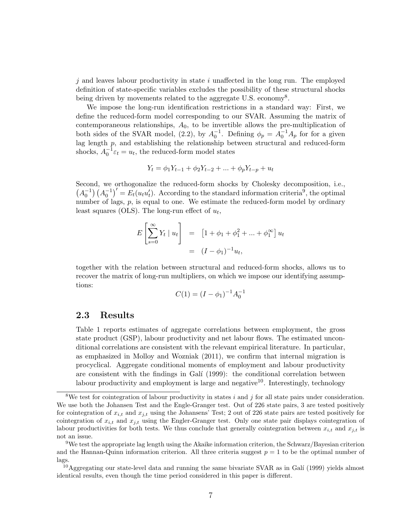$j$  and leaves labour productivity in state i unaffected in the long run. The employed definition of state-specific variables excludes the possibility of these structural shocks being driven by movements related to the aggregate U.S. economy<sup>8</sup>.

We impose the long-run identification restrictions in a standard way: First, we define the reduced-form model corresponding to our SVAR. Assuming the matrix of contemporaneous relationships,  $A_0$ , to be invertible allows the pre-multiplication of both sides of the SVAR model, (2.2), by  $A_0^{-1}$ . Defining  $\phi_p = A_0^{-1}A_p$  for for a given lag length  $p$ , and establishing the relationship between structural and reduced-form shocks,  $A_0^{-1} \varepsilon_t = u_t$ , the reduced-form model states

$$
Y_t = \phi_1 Y_{t-1} + \phi_2 Y_{t-2} + \dots + \phi_p Y_{t-p} + u_t
$$

Second, we orthogonalize the reduced-form shocks by Cholesky decomposition, i.e.,  $(A_0^{-1})$  $(A_0^{-1})' = E_t(u_tu'_t)$ . According to the standard information criteria<sup>9</sup>, the optimal number of lags,  $p$ , is equal to one. We estimate the reduced-form model by ordinary least squares (OLS). The long-run effect of  $u_t$ ,

$$
E\left[\sum_{s=0}^{\infty} Y_t \mid u_t\right] = \left[1 + \phi_1 + \phi_1^2 + \dots + \phi_1^{\infty}\right] u_t
$$

$$
= (I - \phi_1)^{-1} u_t,
$$

together with the relation between structural and reduced-form shocks, allows us to recover the matrix of long-run multipliers, on which we impose our identifying assumptions:

$$
C(1) = (I - \phi_1)^{-1} A_0^{-1}
$$

#### 2.3 Results

Table 1 reports estimates of aggregate correlations between employment, the gross state product (GSP), labour productivity and net labour flows. The estimated unconditional correlations are consistent with the relevant empirical literature. In particular, as emphasized in Molloy and Wozniak (2011), we confirm that internal migration is procyclical. Aggregate conditional moments of employment and labour productivity are consistent with the findings in Galí (1999): the conditional correlation between labour productivity and employment is large and negative<sup>10</sup>. Interestingly, technology

<sup>&</sup>lt;sup>8</sup>We test for cointegration of labour productivity in states i and j for all state pairs under consideration. We use both the Johansen Test and the Engle-Granger test. Out of 226 state pairs, 3 are tested positively for cointegration of  $x_{i,t}$  and  $x_{j,t}$  using the Johansens' Test; 2 out of 226 state pairs are tested positively for cointegration of  $x_{i,t}$  and  $x_{j,t}$  using the Engler-Granger test. Only one state pair displays cointegration of labour productivities for both tests. We thus conclude that generally cointegration between  $x_{i,t}$  and  $x_{j,t}$  is not an issue.

<sup>9</sup>We test the appropriate lag length using the Akaike information criterion, the Schwarz/Bayesian criterion and the Hannan-Quinn information criterion. All three criteria suggest  $p = 1$  to be the optimal number of lags.

<sup>&</sup>lt;sup>10</sup>Aggregating our state-level data and running the same bivariate SVAR as in Galí (1999) yields almost identical results, even though the time period considered in this paper is different.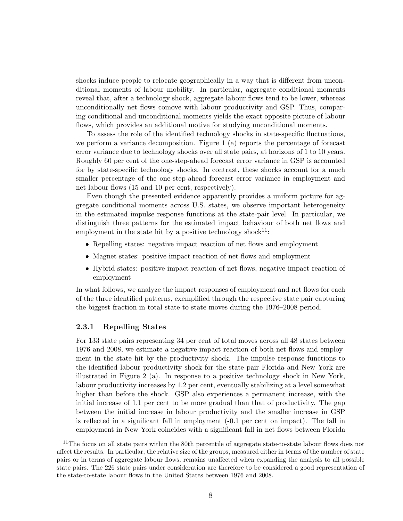shocks induce people to relocate geographically in a way that is different from unconditional moments of labour mobility. In particular, aggregate conditional moments reveal that, after a technology shock, aggregate labour flows tend to be lower, whereas unconditionally net flows comove with labour productivity and GSP. Thus, comparing conditional and unconditional moments yields the exact opposite picture of labour flows, which provides an additional motive for studying unconditional moments.

To assess the role of the identified technology shocks in state-specific fluctuations, we perform a variance decomposition. Figure 1 (a) reports the percentage of forecast error variance due to technology shocks over all state pairs, at horizons of 1 to 10 years. Roughly 60 per cent of the one-step-ahead forecast error variance in GSP is accounted for by state-specific technology shocks. In contrast, these shocks account for a much smaller percentage of the one-step-ahead forecast error variance in employment and net labour flows (15 and 10 per cent, respectively).

Even though the presented evidence apparently provides a uniform picture for aggregate conditional moments across U.S. states, we observe important heterogeneity in the estimated impulse response functions at the state-pair level. In particular, we distinguish three patterns for the estimated impact behaviour of both net flows and employment in the state hit by a positive technology shock $^{11}$ :

- Repelling states: negative impact reaction of net flows and employment
- Magnet states: positive impact reaction of net flows and employment
- Hybrid states: positive impact reaction of net flows, negative impact reaction of employment

In what follows, we analyze the impact responses of employment and net flows for each of the three identified patterns, exemplified through the respective state pair capturing the biggest fraction in total state-to-state moves during the 1976–2008 period.

#### 2.3.1 Repelling States

For 133 state pairs representing 34 per cent of total moves across all 48 states between 1976 and 2008, we estimate a negative impact reaction of both net flows and employment in the state hit by the productivity shock. The impulse response functions to the identified labour productivity shock for the state pair Florida and New York are illustrated in Figure 2 (a). In response to a positive technology shock in New York, labour productivity increases by 1.2 per cent, eventually stabilizing at a level somewhat higher than before the shock. GSP also experiences a permanent increase, with the initial increase of 1.1 per cent to be more gradual than that of productivity. The gap between the initial increase in labour productivity and the smaller increase in GSP is reflected in a significant fall in employment (-0.1 per cent on impact). The fall in employment in New York coincides with a significant fall in net flows between Florida

<sup>&</sup>lt;sup>11</sup>The focus on all state pairs within the 80th percentile of aggregate state-to-state labour flows does not affect the results. In particular, the relative size of the groups, measured either in terms of the number of state pairs or in terms of aggregate labour flows, remains unaffected when expanding the analysis to all possible state pairs. The 226 state pairs under consideration are therefore to be considered a good representation of the state-to-state labour flows in the United States between 1976 and 2008.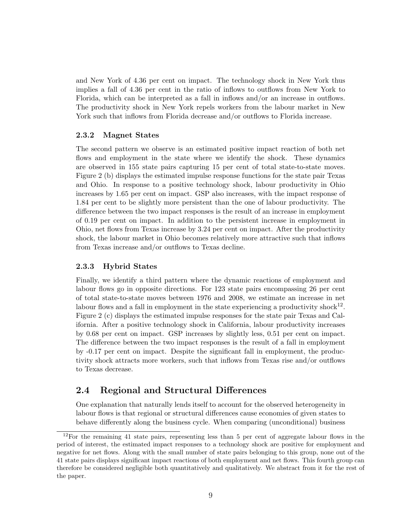and New York of 4.36 per cent on impact. The technology shock in New York thus implies a fall of 4.36 per cent in the ratio of inflows to outflows from New York to Florida, which can be interpreted as a fall in inflows and/or an increase in outflows. The productivity shock in New York repels workers from the labour market in New York such that inflows from Florida decrease and/or outflows to Florida increase.

#### 2.3.2 Magnet States

The second pattern we observe is an estimated positive impact reaction of both net flows and employment in the state where we identify the shock. These dynamics are observed in 155 state pairs capturing 15 per cent of total state-to-state moves. Figure 2 (b) displays the estimated impulse response functions for the state pair Texas and Ohio. In response to a positive technology shock, labour productivity in Ohio increases by 1.65 per cent on impact. GSP also increases, with the impact response of 1.84 per cent to be slightly more persistent than the one of labour productivity. The difference between the two impact responses is the result of an increase in employment of 0.19 per cent on impact. In addition to the persistent increase in employment in Ohio, net flows from Texas increase by 3.24 per cent on impact. After the productivity shock, the labour market in Ohio becomes relatively more attractive such that inflows from Texas increase and/or outflows to Texas decline.

#### 2.3.3 Hybrid States

Finally, we identify a third pattern where the dynamic reactions of employment and labour flows go in opposite directions. For 123 state pairs encompassing 26 per cent of total state-to-state moves between 1976 and 2008, we estimate an increase in net labour flows and a fall in employment in the state experiencing a productivity shock<sup>12</sup>. Figure 2 (c) displays the estimated impulse responses for the state pair Texas and California. After a positive technology shock in California, labour productivity increases by 0.68 per cent on impact. GSP increases by slightly less, 0.51 per cent on impact. The difference between the two impact responses is the result of a fall in employment by -0.17 per cent on impact. Despite the significant fall in employment, the productivity shock attracts more workers, such that inflows from Texas rise and/or outflows to Texas decrease.

#### 2.4 Regional and Structural Differences

One explanation that naturally lends itself to account for the observed heterogeneity in labour flows is that regional or structural differences cause economies of given states to behave differently along the business cycle. When comparing (unconditional) business

 $12$ For the remaining 41 state pairs, representing less than 5 per cent of aggregate labour flows in the period of interest, the estimated impact responses to a technology shock are positive for employment and negative for net flows. Along with the small number of state pairs belonging to this group, none out of the 41 state pairs displays significant impact reactions of both employment and net flows. This fourth group can therefore be considered negligible both quantitatively and qualitatively. We abstract from it for the rest of the paper.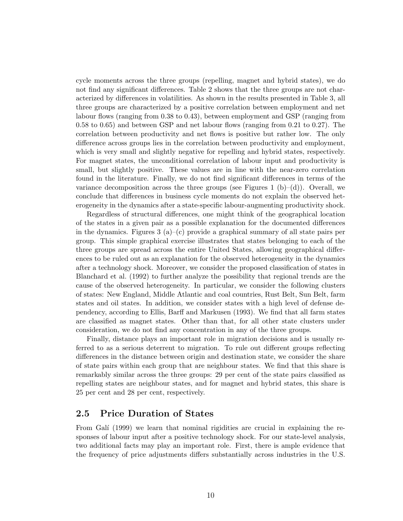cycle moments across the three groups (repelling, magnet and hybrid states), we do not find any significant differences. Table 2 shows that the three groups are not characterized by differences in volatilities. As shown in the results presented in Table 3, all three groups are characterized by a positive correlation between employment and net labour flows (ranging from 0.38 to 0.43), between employment and GSP (ranging from 0.58 to 0.65) and between GSP and net labour flows (ranging from 0.21 to 0.27). The correlation between productivity and net flows is positive but rather low. The only difference across groups lies in the correlation between productivity and employment, which is very small and slightly negative for repelling and hybrid states, respectively. For magnet states, the unconditional correlation of labour input and productivity is small, but slightly positive. These values are in line with the near-zero correlation found in the literature. Finally, we do not find significant differences in terms of the variance decomposition across the three groups (see Figures 1 (b)–(d)). Overall, we conclude that differences in business cycle moments do not explain the observed heterogeneity in the dynamics after a state-specific labour-augmenting productivity shock.

Regardless of structural differences, one might think of the geographical location of the states in a given pair as a possible explanation for the documented differences in the dynamics. Figures 3 (a)–(c) provide a graphical summary of all state pairs per group. This simple graphical exercise illustrates that states belonging to each of the three groups are spread across the entire United States, allowing geographical differences to be ruled out as an explanation for the observed heterogeneity in the dynamics after a technology shock. Moreover, we consider the proposed classification of states in Blanchard et al. (1992) to further analyze the possibility that regional trends are the cause of the observed heterogeneity. In particular, we consider the following clusters of states: New England, Middle Atlantic and coal countries, Rust Belt, Sun Belt, farm states and oil states. In addition, we consider states with a high level of defense dependency, according to Ellis, Barff and Markusen (1993). We find that all farm states are classified as magnet states. Other than that, for all other state clusters under consideration, we do not find any concentration in any of the three groups.

Finally, distance plays an important role in migration decisions and is usually referred to as a serious deterrent to migration. To rule out different groups reflecting differences in the distance between origin and destination state, we consider the share of state pairs within each group that are neighbour states. We find that this share is remarkably similar across the three groups: 29 per cent of the state pairs classified as repelling states are neighbour states, and for magnet and hybrid states, this share is 25 per cent and 28 per cent, respectively.

#### 2.5 Price Duration of States

From Galí (1999) we learn that nominal rigidities are crucial in explaining the responses of labour input after a positive technology shock. For our state-level analysis, two additional facts may play an important role. First, there is ample evidence that the frequency of price adjustments differs substantially across industries in the U.S.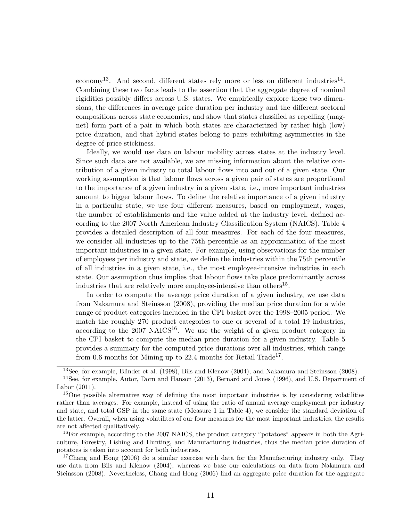economy<sup>13</sup>. And second, different states rely more or less on different industries<sup>14</sup>. Combining these two facts leads to the assertion that the aggregate degree of nominal rigidities possibly differs across U.S. states. We empirically explore these two dimensions, the differences in average price duration per industry and the different sectoral compositions across state economies, and show that states classified as repelling (magnet) form part of a pair in which both states are characterized by rather high (low) price duration, and that hybrid states belong to pairs exhibiting asymmetries in the degree of price stickiness.

Ideally, we would use data on labour mobility across states at the industry level. Since such data are not available, we are missing information about the relative contribution of a given industry to total labour flows into and out of a given state. Our working assumption is that labour flows across a given pair of states are proportional to the importance of a given industry in a given state, i.e., more important industries amount to bigger labour flows. To define the relative importance of a given industry in a particular state, we use four different measures, based on employment, wages, the number of establishments and the value added at the industry level, defined according to the 2007 North American Industry Classification System (NAICS). Table 4 provides a detailed description of all four measures. For each of the four measures, we consider all industries up to the 75th percentile as an approximation of the most important industries in a given state. For example, using observations for the number of employees per industry and state, we define the industries within the 75th percentile of all industries in a given state, i.e., the most employee-intensive industries in each state. Our assumption thus implies that labour flows take place predominantly across industries that are relatively more employee-intensive than others<sup>15</sup>.

In order to compute the average price duration of a given industry, we use data from Nakamura and Steinsson (2008), providing the median price duration for a wide range of product categories included in the CPI basket over the 1998–2005 period. We match the roughly 270 product categories to one or several of a total 19 industries, according to the  $2007 \text{ NAICS}^{16}$ . We use the weight of a given product category in the CPI basket to compute the median price duration for a given industry. Table 5 provides a summary for the computed price durations over all industries, which range from 0.6 months for Mining up to 22.4 months for Retail Trade<sup>17</sup>.

<sup>13</sup>See, for example, Blinder et al. (1998), Bils and Klenow (2004), and Nakamura and Steinsson (2008).

<sup>&</sup>lt;sup>14</sup>See, for example, Autor, Dorn and Hanson (2013), Bernard and Jones (1996), and U.S. Department of Labor (2011).

<sup>&</sup>lt;sup>15</sup>One possible alternative way of defining the most important industries is by considering volatilities rather than averages. For example, instead of using the ratio of annual average employment per industry and state, and total GSP in the same state (Measure 1 in Table 4), we consider the standard deviation of the latter. Overall, when using volatilites of our four measures for the most important industries, the results are not affected qualitatively.

 $16$ For example, according to the 2007 NAICS, the product category "potatoes" appears in both the Agriculture, Forestry, Fishing and Hunting, and Manufacturing industries, thus the median price duration of potatoes is taken into account for both industries.

<sup>&</sup>lt;sup>17</sup>Chang and Hong (2006) do a similar exercise with data for the Manufacturing industry only. They use data from Bils and Klenow (2004), whereas we base our calculations on data from Nakamura and Steinsson (2008). Nevertheless, Chang and Hong (2006) find an aggregate price duration for the aggregate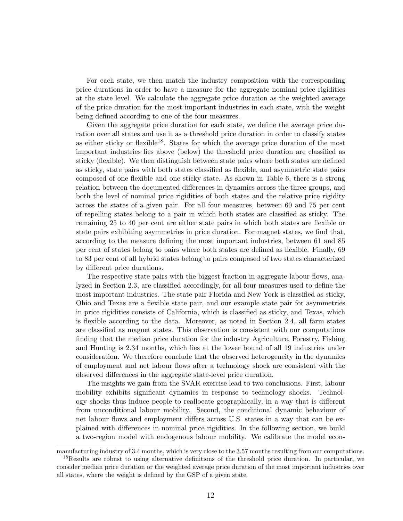For each state, we then match the industry composition with the corresponding price durations in order to have a measure for the aggregate nominal price rigidities at the state level. We calculate the aggregate price duration as the weighted average of the price duration for the most important industries in each state, with the weight being defined according to one of the four measures.

Given the aggregate price duration for each state, we define the average price duration over all states and use it as a threshold price duration in order to classify states as either sticky or flexible<sup>18</sup>. States for which the average price duration of the most important industries lies above (below) the threshold price duration are classified as sticky (flexible). We then distinguish between state pairs where both states are defined as sticky, state pairs with both states classified as flexible, and asymmetric state pairs composed of one flexible and one sticky state. As shown in Table 6, there is a strong relation between the documented differences in dynamics across the three groups, and both the level of nominal price rigidities of both states and the relative price rigidity across the states of a given pair. For all four measures, between 60 and 75 per cent of repelling states belong to a pair in which both states are classified as sticky. The remaining 25 to 40 per cent are either state pairs in which both states are flexible or state pairs exhibiting asymmetries in price duration. For magnet states, we find that, according to the measure defining the most important industries, between 61 and 85 per cent of states belong to pairs where both states are defined as flexible. Finally, 69 to 83 per cent of all hybrid states belong to pairs composed of two states characterized by different price durations.

The respective state pairs with the biggest fraction in aggregate labour flows, analyzed in Section 2.3, are classified accordingly, for all four measures used to define the most important industries. The state pair Florida and New York is classified as sticky, Ohio and Texas are a flexible state pair, and our example state pair for asymmetries in price rigidities consists of California, which is classified as sticky, and Texas, which is flexible according to the data. Moreover, as noted in Section 2.4, all farm states are classified as magnet states. This observation is consistent with our computations finding that the median price duration for the industry Agriculture, Forestry, Fishing and Hunting is 2.34 months, which lies at the lower bound of all 19 industries under consideration. We therefore conclude that the observed heterogeneity in the dynamics of employment and net labour flows after a technology shock are consistent with the observed differences in the aggregate state-level price duration.

The insights we gain from the SVAR exercise lead to two conclusions. First, labour mobility exhibits significant dynamics in response to technology shocks. Technology shocks thus induce people to reallocate geographically, in a way that is different from unconditional labour mobility. Second, the conditional dynamic behaviour of net labour flows and employment differs across U.S. states in a way that can be explained with differences in nominal price rigidities. In the following section, we build a two-region model with endogenous labour mobility. We calibrate the model econ-

manufacturing industry of 3.4 months, which is very close to the 3.57 months resulting from our computations.

<sup>&</sup>lt;sup>18</sup>Results are robust to using alternative definitions of the threshold price duration. In particular, we consider median price duration or the weighted average price duration of the most important industries over all states, where the weight is defined by the GSP of a given state.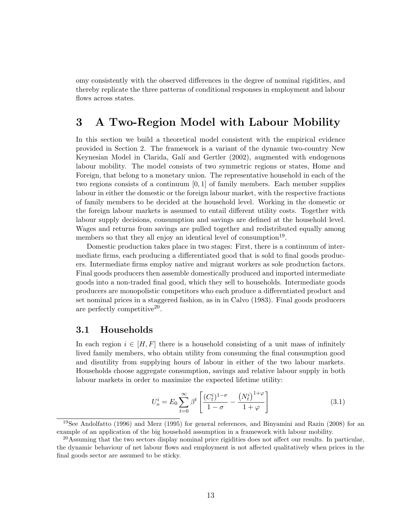omy consistently with the observed differences in the degree of nominal rigidities, and thereby replicate the three patterns of conditional responses in employment and labour flows across states.

## 3 A Two-Region Model with Labour Mobility

In this section we build a theoretical model consistent with the empirical evidence provided in Section 2. The framework is a variant of the dynamic two-country New Keynesian Model in Clarida, Gal´ı and Gertler (2002), augmented with endogenous labour mobility. The model consists of two symmetric regions or states, Home and Foreign, that belong to a monetary union. The representative household in each of the two regions consists of a continuum  $[0, 1]$  of family members. Each member supplies labour in either the domestic or the foreign labour market, with the respective fractions of family members to be decided at the household level. Working in the domestic or the foreign labour markets is assumed to entail different utility costs. Together with labour supply decisions, consumption and savings are defined at the household level. Wages and returns from savings are pulled together and redistributed equally among members so that they all enjoy an identical level of consumption<sup>19</sup>.

Domestic production takes place in two stages: First, there is a continuum of intermediate firms, each producing a differentiated good that is sold to final goods producers. Intermediate firms employ native and migrant workers as sole production factors. Final goods producers then assemble domestically produced and imported intermediate goods into a non-traded final good, which they sell to households. Intermediate goods producers are monopolistic competitors who each produce a differentiated product and set nominal prices in a staggered fashion, as in in Calvo (1983). Final goods producers are perfectly competitive<sup>20</sup>.

#### 3.1 Households

In each region  $i \in [H, F]$  there is a household consisting of a unit mass of infinitely lived family members, who obtain utility from consuming the final consumption good and disutility from supplying hours of labour in either of the two labour markets. Households choose aggregate consumption, savings and relative labour supply in both labour markets in order to maximize the expected lifetime utility:

$$
U_o^i = E_0 \sum_{t=0}^{\infty} \beta^t \left[ \frac{(C_t^i)^{1-\sigma}}{1-\sigma} - \frac{(N_t^i)^{1+\varphi}}{1+\varphi} \right]
$$
(3.1)

<sup>19</sup>See Andolfatto (1996) and Merz (1995) for general references, and Binyamini and Razin (2008) for an example of an application of the big household assumption in a framework with labour mobility.

<sup>&</sup>lt;sup>20</sup>Assuming that the two sectors display nominal price rigidities does not affect our results. In particular, the dynamic behaviour of net labour flows and employment is not affected qualitatively when prices in the final goods sector are assumed to be sticky.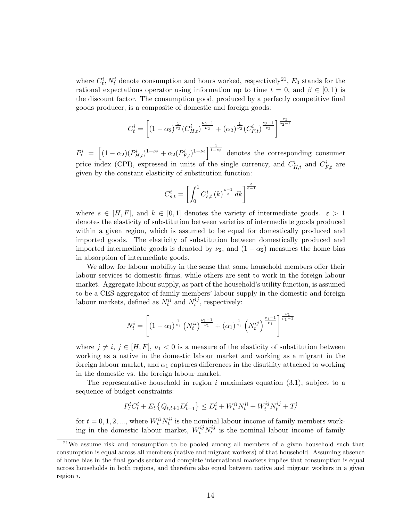where  $C_t^i$ ,  $N_t^i$  denote consumption and hours worked, respectively<sup>21</sup>,  $E_0$  stands for the rational expectations operator using information up to time  $t = 0$ , and  $\beta \in [0, 1)$  is the discount factor. The consumption good, produced by a perfectly competitive final goods producer, is a composite of domestic and foreign goods:

$$
C_t^i = \left[ (1 - \alpha_2)^{\frac{1}{\nu_2}} (C_{H,t}^i)^{\frac{\nu_2 - 1}{\nu_2}} + (\alpha_2)^{\frac{1}{\nu_2}} (C_{F,t}^i)^{\frac{\nu_2 - 1}{\nu_2}} \right]^{\frac{\nu_2}{\nu_2 - 1}}
$$

 $P_t^i = \left[ (1-\alpha_2)(P_{H,t}^i)^{1-\nu_2} + \alpha_2 (P_{F,t}^i)^{1-\nu_2} \right]^{1-\nu_2}$  denotes the corresponding consumer price index (CPI), expressed in units of the single currency, and  $C_{H,t}^i$  and  $C_{F,t}^i$  are given by the constant elasticity of substitution function:

$$
C_{s,t}^i=\left[\int_0^1C_{s,t}^i\left(k\right)^{\frac{\varepsilon-1}{\varepsilon}}dk\right]^{\frac{\varepsilon}{\varepsilon-1}}
$$

where  $s \in [H, F]$ , and  $k \in [0, 1]$  denotes the variety of intermediate goods.  $\varepsilon > 1$ denotes the elasticity of substitution between varieties of intermediate goods produced within a given region, which is assumed to be equal for domestically produced and imported goods. The elasticity of substitution between domestically produced and imported intermediate goods is denoted by  $\nu_2$ , and  $(1 - \alpha_2)$  measures the home bias in absorption of intermediate goods.

We allow for labour mobility in the sense that some household members offer their labour services to domestic firms, while others are sent to work in the foreign labour market. Aggregate labour supply, as part of the household's utility function, is assumed to be a CES-aggregator of family members' labour supply in the domestic and foreign labour markets, defined as  $N_t^{ii}$  and  $N_t^{ij}$  $t^{ij}$ , respectively:

$$
N_t^i = \left[ \left(1 - \alpha_1\right)^{\frac{1}{\nu_1}} \left(N_t^{ii}\right)^{\frac{\nu_1 - 1}{\nu_1}} + \left(\alpha_1\right)^{\frac{1}{\nu_1}} \left(N_t^{ij}\right)^{\frac{\nu_1 - 1}{\nu_1}} \right]^{\frac{\nu_1}{\nu_1 - 1}}
$$

where  $j \neq i, j \in [H, F], \nu_1 < 0$  is a measure of the elasticity of substitution between working as a native in the domestic labour market and working as a migrant in the foreign labour market, and  $\alpha_1$  captures differences in the disutility attached to working in the domestic vs. the foreign labour market.

The representative household in region  $i$  maximizes equation (3.1), subject to a sequence of budget constraints:

$$
P_t^i C_t^i + E_t \left\{ Q_{t,t+1} D_{t+1}^i \right\} \le D_t^i + W_t^{ii} N_t^{ii} + W_t^{ij} N_t^{ij} + T_t^i
$$

for  $t = 0, 1, 2, \dots$ , where  $W_t^{ii} N_t^{ii}$  is the nominal labour income of family members working in the domestic labour market,  $W_t^{ij} N_t^{ij}$  $t_i^{ij}$  is the nominal labour income of family

 $21$ We assume risk and consumption to be pooled among all members of a given household such that consumption is equal across all members (native and migrant workers) of that household. Assuming absence of home bias in the final goods sector and complete international markets implies that consumption is equal across households in both regions, and therefore also equal between native and migrant workers in a given region i.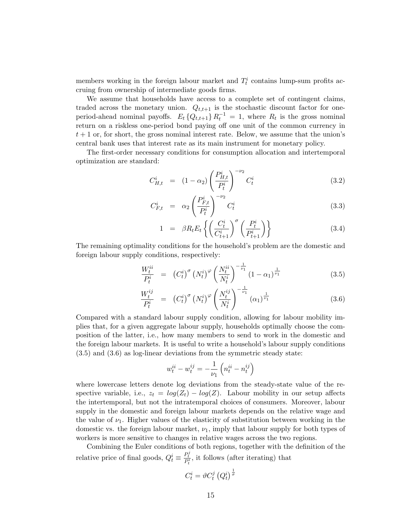members working in the foreign labour market and  $T_t^i$  contains lump-sum profits accruing from ownership of intermediate goods firms.

We assume that households have access to a complete set of contingent claims, traded across the monetary union.  $Q_{t,t+1}$  is the stochastic discount factor for oneperiod-ahead nominal payoffs.  $E_t \{Q_{t,t+1}\} R_t^{-1} = 1$ , where  $R_t$  is the gross nominal return on a riskless one-period bond paying off one unit of the common currency in  $t + 1$  or, for short, the gross nominal interest rate. Below, we assume that the union's central bank uses that interest rate as its main instrument for monetary policy.

The first-order necessary conditions for consumption allocation and intertemporal optimization are standard:

$$
C_{H,t}^{i} = (1 - \alpha_2) \left( \frac{P_{H,t}^{i}}{P_t^{i}} \right)^{-\nu_2} C_t^{i}
$$
 (3.2)

$$
C_{F,t}^i = \alpha_2 \left(\frac{P_{F,t}^i}{P_t^i}\right)^{-\nu_2} C_t^i \tag{3.3}
$$

$$
1 = \beta R_t E_t \left\{ \left( \frac{C_t^i}{C_{t+1}^i} \right)^\sigma \left( \frac{P_t^i}{P_{t+1}^i} \right) \right\} \tag{3.4}
$$

The remaining optimality conditions for the household's problem are the domestic and foreign labour supply conditions, respectively:

$$
\frac{W_t^{ii}}{P_t^i} = \left(C_t^i\right)^{\sigma} \left(N_t^i\right)^{\varphi} \left(\frac{N_t^{ii}}{N_t^i}\right)^{-\frac{1}{\nu_1}} \left(1 - \alpha_1\right)^{\frac{1}{\nu_1}} \tag{3.5}
$$

$$
\frac{W_t^{ij}}{P_t^i} = (C_t^i)^{\sigma} (N_t^i)^{\varphi} \left(\frac{N_t^{ij}}{N_t^i}\right)^{-\frac{1}{\nu_1}} (\alpha_1)^{\frac{1}{\nu_1}}
$$
\n(3.6)

Compared with a standard labour supply condition, allowing for labour mobility implies that, for a given aggregate labour supply, households optimally choose the composition of the latter, i.e., how many members to send to work in the domestic and the foreign labour markets. It is useful to write a household's labour supply conditions (3.5) and (3.6) as log-linear deviations from the symmetric steady state:

$$
w_t^{ii} - w_t^{ij} = -\frac{1}{\nu_1}\left(n_t^{ii} - n_t^{ij}\right)
$$

where lowercase letters denote log deviations from the steady-state value of the respective variable, i.e.,  $z_t = log(Z_t) - log(Z)$ . Labour mobility in our setup affects the intertemporal, but not the intratemporal choices of consumers. Moreover, labour supply in the domestic and foreign labour markets depends on the relative wage and the value of  $\nu_1$ . Higher values of the elasticity of substitution between working in the domestic vs. the foreign labour market,  $\nu_1$ , imply that labour supply for both types of workers is more sensitive to changes in relative wages across the two regions.

Combining the Euler conditions of both regions, together with the definition of the relative price of final goods,  $Q_t^i \equiv \frac{P_t^j}{P_t^i}$ , it follows (after iterating) that

$$
C_t^i = \vartheta C_t^j \left( Q_t^i \right)^{\frac{1}{\sigma}}
$$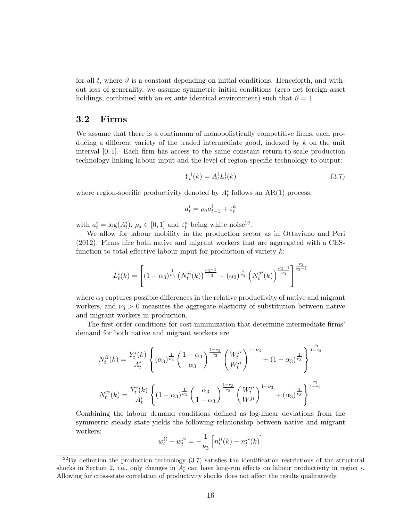for all t, where  $\vartheta$  is a constant depending on initial conditions. Henceforth, and without loss of generality, we assume symmetric initial conditions (zero net foreign asset holdings, combined with an ex ante identical environment) such that  $\vartheta = 1$ .

#### 3.2 Firms

We assume that there is a continuum of monopolistically competitive firms, each producing a different variety of the traded intermediate good, indexed by k on the unit interval [0, 1]. Each firm has access to the same constant return-to-scale production technology linking labour input and the level of region-specific technology to output:

$$
Y_t^i(k) = A_t^i L_t^i(k)
$$
\n
$$
(3.7)
$$

where region-specific productivity denoted by  $A_t^i$  follows an AR(1) process:

$$
a^i_t = \rho_a a^i_{t-1} + \varepsilon^a_t
$$

with  $a_t^i = \log(A_t^i)$ ,  $\rho_a \in [0, 1]$  and  $\varepsilon_t^a$  being white noise<sup>22</sup>.

We allow for labour mobility in the production sector as in Ottaviano and Peri (2012). Firms hire both native and migrant workers that are aggregated with a CESfunction to total effective labour input for production of variety  $k$ :

$$
L_t^i(k) = \left[ (1 - \alpha_3)^{\frac{1}{\nu_3}} \left( N_t^{ii}(k) \right)^{\frac{\nu_3 - 1}{\nu_3}} + (\alpha_3)^{\frac{1}{\nu_3}} \left( N_t^{ji}(k) \right)^{\frac{\nu_3 - 1}{\nu_3}} \right]^{\frac{\nu_3}{\nu_3 - 1}}
$$

where  $\alpha_3$  captures possible differences in the relative productivity of native and migrant workers, and  $\nu_3 > 0$  measures the aggregate elasticity of substitution between native and migrant workers in production.

The first-order conditions for cost minimization that determine intermediate firms' demand for both native and migrant workers are

$$
N_t^{ii}(k) = \frac{Y_t^i(k)}{A_t^i} \left\{ (\alpha_3)^{\frac{1}{\nu_3}} \left( \frac{1 - \alpha_3}{\alpha_3} \right)^{\frac{1 - \nu_3}{\nu_3}} \left( \frac{W_t^{ji}}{W_t^{ii}} \right)^{1 - \nu_3} + (1 - \alpha_3)^{\frac{1}{\nu_3}} \right\}^{\frac{\nu_3}{1 - \nu_3}}
$$
  

$$
N_t^{ji}(k) = \frac{Y_t^i(k)}{A_t^i} \left\{ (1 - \alpha_3)^{\frac{1}{\nu_3}} \left( \frac{\alpha_3}{1 - \alpha_3} \right)^{\frac{1 - \nu_3}{\nu_3}} \left( \frac{W_t^{ii}}{W^{ji}} \right)^{1 - \nu_3} + (\alpha_3)^{\frac{1}{\nu_3}} \right\}^{\frac{\nu_3}{1 - \nu_3}}
$$

Combining the labour demand conditions defined as log-linear deviations from the symmetric steady state yields the following relationship between native and migrant workers:

$$
w_t^{ii} - w_t^{ji} = -\frac{1}{\nu_3} \left[ n_t^{ii}(k) - n_t^{ji}(k) \right]
$$

 $^{22}$ By definition the production technology (3.7) satisfies the identification restrictions of the structural shocks in Section 2, i.e., only changes in  $A_t^i$  can have long-run effects on labour productivity in region i. Allowing for cross-state correlation of productivity shocks does not affect the results qualitatively.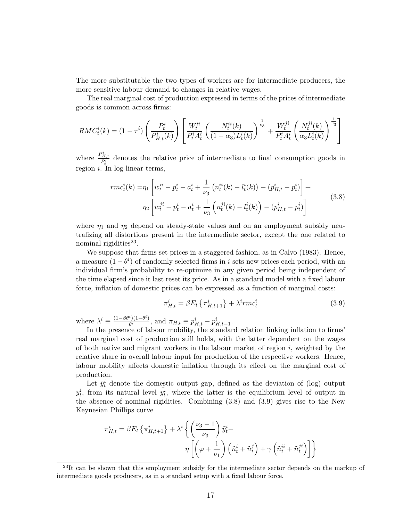The more substitutable the two types of workers are for intermediate producers, the more sensitive labour demand to changes in relative wages.

The real marginal cost of production expressed in terms of the prices of intermediate goods is common across firms:

$$
RMC_t^i(k) = (1 - \tau^i) \left( \frac{P_t^i}{P_{H,t}^i(k)} \right) \left[ \frac{W_t^{ii}}{P_t^i A_t^i} \left( \frac{N_t^{ii}(k)}{(1 - \alpha_3)L_t^i(k)} \right)^{\frac{1}{\nu_3}} + \frac{W_t^{ji}}{P_t^i A_t^i} \left( \frac{N_t^{ji}(k)}{\alpha_3 L_t^i(k)} \right)^{\frac{1}{\nu_3}} \right]
$$

where  $\frac{P_{H,t}^i}{P_t^i}$  denotes the relative price of intermediate to final consumption goods in region i. In log-linear terms,

$$
rmc_t^i(k) = \eta_1 \left[ w_t^{ii} - p_t^i - a_t^i + \frac{1}{\nu_3} \left( n_t^{ii}(k) - l_t^i(k) \right) - \left( p_{H,t}^i - p_t^i \right) \right] + \eta_2 \left[ w_t^{ji} - p_t^i - a_t^i + \frac{1}{\nu_3} \left( n_t^{ji}(k) - l_t^i(k) \right) - \left( p_{H,t}^i - p_t^i \right) \right]
$$
(3.8)

where  $\eta_1$  and  $\eta_2$  depend on steady-state values and on an employment subsidy neutralizing all distortions present in the intermediate sector, except the one related to nominal rigidities<sup>23</sup>.

We suppose that firms set prices in a staggered fashion, as in Calvo (1983). Hence, a measure  $(1 - \theta^i)$  of randomly selected firms in i sets new prices each period, with an individual firm's probability to re-optimize in any given period being independent of the time elapsed since it last reset its price. As in a standard model with a fixed labour force, inflation of domestic prices can be expressed as a function of marginal costs:

$$
\pi_{H,t}^i = \beta E_t \left\{ \pi_{H,t+1}^i \right\} + \lambda^i r m c_t^i \tag{3.9}
$$

where  $\lambda^i \equiv \frac{(1-\beta\theta^i)(1-\theta^i)}{\theta^i}$  $\frac{\partial^i}{\partial t^i}(\theta^i - \theta^i)$ , and  $\pi_{H,t} \equiv p^i_{H,t} - p^i_{H,t-1}$ .

In the presence of labour mobility, the standard relation linking inflation to firms' real marginal cost of production still holds, with the latter dependent on the wages of both native and migrant workers in the labour market of region  $i$ , weighted by the relative share in overall labour input for production of the respective workers. Hence, labour mobility affects domestic inflation through its effect on the marginal cost of production.

Let  $\tilde{y}_t^i$  denote the domestic output gap, defined as the deviation of (log) output  $y_t^i$ , from its natural level  $y_t^i$ , where the latter is the equilibrium level of output in the absence of nominal rigidities. Combining (3.8) and (3.9) gives rise to the New Keynesian Phillips curve

$$
\pi_{H,t}^i = \beta E_t \left\{ \pi_{H,t+1}^i \right\} + \lambda^i \left\{ \left( \frac{\nu_3 - 1}{\nu_3} \right) \tilde{y}_t^i + \eta \left[ \left( \varphi + \frac{1}{\nu_1} \right) \left( \tilde{n}_t^i + \tilde{n}_t^j \right) + \gamma \left( \tilde{n}_t^{ii} + \tilde{n}_t^{ji} \right) \right] \right\}
$$

<sup>&</sup>lt;sup>23</sup>It can be shown that this employment subsidy for the intermediate sector depends on the markup of intermediate goods producers, as in a standard setup with a fixed labour force.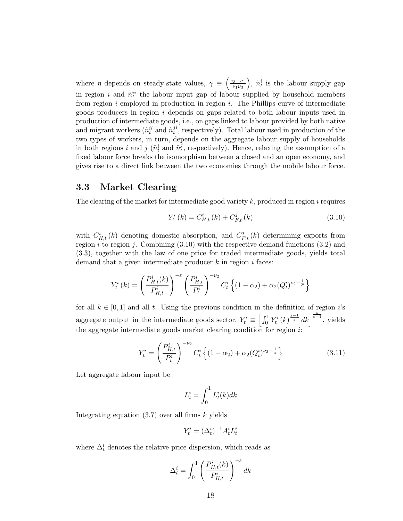where  $\eta$  depends on steady-state values,  $\gamma \equiv \left(\frac{\nu_3-\nu_1}{\nu_1\nu_2}\right)$  $\overline{\nu_1 \nu_3}$ ),  $\tilde{n}_t^i$  is the labour supply gap in region i and  $\tilde{n}_t^{ii}$  the labour input gap of labour supplied by household members from region  $i$  employed in production in region  $i$ . The Phillips curve of intermediate goods producers in region  $i$  depends on gaps related to both labour inputs used in production of intermediate goods, i.e., on gaps linked to labour provided by both native and migrant workers  $(\tilde n^{ii}_t$  and  $\tilde n^{ji}_t$  $t<sup>i</sup>$ , respectively). Total labour used in production of the two types of workers, in turn, depends on the aggregate labour supply of households in both regions *i* and *j* ( $\tilde{n}_t^i$  and  $\tilde{n}_t^j$  $t<sub>t</sub>$ , respectively). Hence, relaxing the assumption of a fixed labour force breaks the isomorphism between a closed and an open economy, and gives rise to a direct link between the two economies through the mobile labour force.

#### 3.3 Market Clearing

The clearing of the market for intermediate good variety  $k$ , produced in region  $i$  requires

$$
Y_{t}^{i}(k) = C_{H,t}^{i}(k) + C_{F,t}^{j}(k)
$$
\n(3.10)

with  $C_{H,t}^{i}(k)$  denoting domestic absorption, and  $C_{F,t}^{j}(k)$  determining exports from region  $i$  to region  $j$ . Combining  $(3.10)$  with the respective demand functions  $(3.2)$  and (3.3), together with the law of one price for traded intermediate goods, yields total demand that a given intermediate producer  $k$  in region  $i$  faces:

$$
Y_t^i(k) = \left(\frac{P_{H,t}^i(k)}{P_{H,t}^i}\right)^{-\varepsilon} \left(\frac{P_{H,t}^i}{P_t^i}\right)^{-\nu_2} C_t^i \left\{(1-\alpha_2) + \alpha_2 (Q_t^i)^{\nu_2 - \frac{1}{\sigma}}\right\}
$$

for all  $k \in [0, 1]$  and all t. Using the previous condition in the definition of region is aggregate output in the intermediate goods sector,  $Y_t^i \equiv \left[\int_0^1 Y_t^i(k)^{\frac{\varepsilon-1}{\varepsilon}} dk\right]^{\frac{\varepsilon}{\varepsilon-1}}$ , yields the aggregate intermediate goods market clearing condition for region i:

$$
Y_t^i = \left(\frac{P_{H,t}^i}{P_t^i}\right)^{-\nu_2} C_t^i \left\{ (1 - \alpha_2) + \alpha_2 (Q_t^i)^{\nu_2 - \frac{1}{\sigma}} \right\}
$$
(3.11)

Let aggregate labour input be

$$
L_t^i = \int_0^1 L_t^i(k)dk
$$

Integrating equation  $(3.7)$  over all firms k yields

$$
Y_t^i = (\Delta_t^i)^{-1} A_t^i L_t^i
$$

where  $\Delta_t^i$  denotes the relative price dispersion, which reads as

$$
\Delta_t^i = \int_0^1 \left( \frac{P_{H,t}^i(k)}{P_{H,t}^i} \right)^{-\varepsilon} dk
$$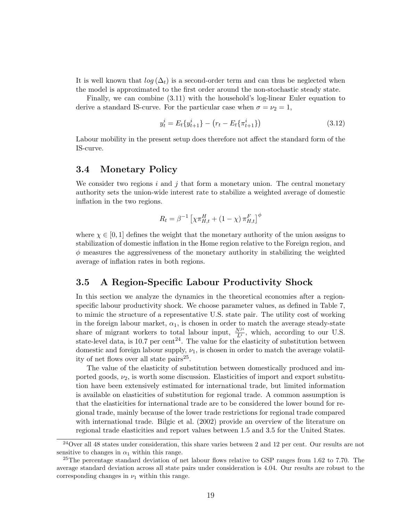It is well known that  $log(\Delta_t)$  is a second-order term and can thus be neglected when the model is approximated to the first order around the non-stochastic steady state.

Finally, we can combine (3.11) with the household's log-linear Euler equation to derive a standard IS-curve. For the particular case when  $\sigma = \nu_2 = 1$ ,

$$
y_t^i = E_t \{ y_{t+1}^i \} - \left( r_t - E_t \{ \pi_{t+1}^i \} \right) \tag{3.12}
$$

Labour mobility in the present setup does therefore not affect the standard form of the IS-curve.

#### 3.4 Monetary Policy

We consider two regions i and j that form a monetary union. The central monetary authority sets the union-wide interest rate to stabilize a weighted average of domestic inflation in the two regions.

$$
R_t = \beta^{-1} \left[ \chi \pi_{H,t}^H + (1 - \chi) \pi_{H,t}^F \right]^{\phi}
$$

where  $\chi \in [0, 1]$  defines the weight that the monetary authority of the union assigns to stabilization of domestic inflation in the Home region relative to the Foreign region, and  $\phi$  measures the aggressiveness of the monetary authority in stabilizing the weighted average of inflation rates in both regions.

#### 3.5 A Region-Specific Labour Productivity Shock

In this section we analyze the dynamics in the theoretical economies after a regionspecific labour productivity shock. We choose parameter values, as defined in Table 7, to mimic the structure of a representative U.S. state pair. The utility cost of working in the foreign labour market,  $\alpha_1$ , is chosen in order to match the average steady-state share of migrant workers to total labour input,  $\frac{N^{ji}}{L^i}$ , which, according to our U.S. state-level data, is 10.7 per cent<sup>24</sup>. The value for the elasticity of substitution between domestic and foreign labour supply,  $\nu_1$ , is chosen in order to match the average volatility of net flows over all state pairs<sup>25</sup>.

The value of the elasticity of substitution between domestically produced and imported goods,  $\nu_2$ , is worth some discussion. Elasticities of import and export substitution have been extensively estimated for international trade, but limited information is available on elasticities of substitution for regional trade. A common assumption is that the elasticities for international trade are to be considered the lower bound for regional trade, mainly because of the lower trade restrictions for regional trade compared with international trade. Bilgic et al. (2002) provide an overview of the literature on regional trade elasticities and report values between 1.5 and 3.5 for the United States.

<sup>&</sup>lt;sup>24</sup>Over all 48 states under consideration, this share varies between 2 and 12 per cent. Our results are not sensitive to changes in  $\alpha_1$  within this range.

<sup>&</sup>lt;sup>25</sup>The percentage standard deviation of net labour flows relative to GSP ranges from 1.62 to 7.70. The average standard deviation across all state pairs under consideration is 4.04. Our results are robust to the corresponding changes in  $\nu_1$  within this range.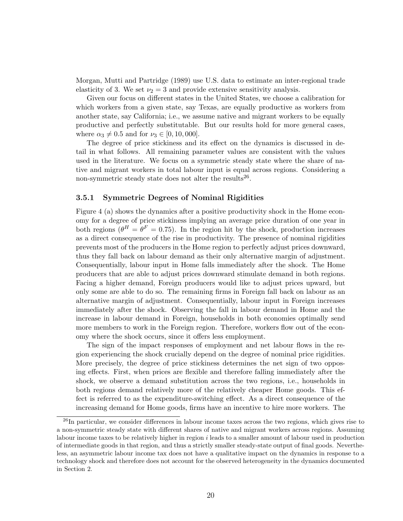Morgan, Mutti and Partridge (1989) use U.S. data to estimate an inter-regional trade elasticity of 3. We set  $\nu_2 = 3$  and provide extensive sensitivity analysis.

Given our focus on different states in the United States, we choose a calibration for which workers from a given state, say Texas, are equally productive as workers from another state, say California; i.e., we assume native and migrant workers to be equally productive and perfectly substitutable. But our results hold for more general cases, where  $\alpha_3 \neq 0.5$  and for  $\nu_3 \in [0, 10, 000]$ .

The degree of price stickiness and its effect on the dynamics is discussed in detail in what follows. All remaining parameter values are consistent with the values used in the literature. We focus on a symmetric steady state where the share of native and migrant workers in total labour input is equal across regions. Considering a non-symmetric steady state does not alter the results<sup>26</sup>.

#### 3.5.1 Symmetric Degrees of Nominal Rigidities

Figure 4 (a) shows the dynamics after a positive productivity shock in the Home economy for a degree of price stickiness implying an average price duration of one year in both regions ( $\theta^H = \theta^F = 0.75$ ). In the region hit by the shock, production increases as a direct consequence of the rise in productivity. The presence of nominal rigidities prevents most of the producers in the Home region to perfectly adjust prices downward, thus they fall back on labour demand as their only alternative margin of adjustment. Consequentially, labour input in Home falls immediately after the shock. The Home producers that are able to adjust prices downward stimulate demand in both regions. Facing a higher demand, Foreign producers would like to adjust prices upward, but only some are able to do so. The remaining firms in Foreign fall back on labour as an alternative margin of adjustment. Consequentially, labour input in Foreign increases immediately after the shock. Observing the fall in labour demand in Home and the increase in labour demand in Foreign, households in both economies optimally send more members to work in the Foreign region. Therefore, workers flow out of the economy where the shock occurs, since it offers less employment.

The sign of the impact responses of employment and net labour flows in the region experiencing the shock crucially depend on the degree of nominal price rigidities. More precisely, the degree of price stickiness determines the net sign of two opposing effects. First, when prices are flexible and therefore falling immediately after the shock, we observe a demand substitution across the two regions, i.e., households in both regions demand relatively more of the relatively cheaper Home goods. This effect is referred to as the expenditure-switching effect. As a direct consequence of the increasing demand for Home goods, firms have an incentive to hire more workers. The

<sup>&</sup>lt;sup>26</sup>In particular, we consider differences in labour income taxes across the two regions, which gives rise to a non-symmetric steady state with different shares of native and migrant workers across regions. Assuming labour income taxes to be relatively higher in region i leads to a smaller amount of labour used in production of intermediate goods in that region, and thus a strictly smaller steady-state output of final goods. Nevertheless, an asymmetric labour income tax does not have a qualitative impact on the dynamics in response to a technology shock and therefore does not account for the observed heterogeneity in the dynamics documented in Section 2.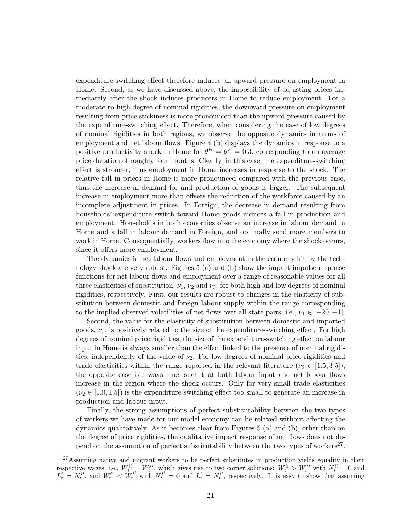expenditure-switching effect therefore induces an upward pressure on employment in Home. Second, as we have discussed above, the impossibility of adjusting prices immediately after the shock induces producers in Home to reduce employment. For a moderate to high degree of nominal rigidities, the downward pressure on employment resulting from price stickiness is more pronounced than the upward pressure caused by the expenditure-switching effect. Therefore, when considering the case of low degrees of nominal rigidities in both regions, we observe the opposite dynamics in terms of employment and net labour flows. Figure 4 (b) displays the dynamics in response to a positive productivity shock in Home for  $\theta^H = \theta^F = 0.3$ , corresponding to an average price duration of roughly four months. Clearly, in this case, the expenditure-switching effect is stronger, thus employment in Home increases in response to the shock. The relative fall in prices in Home is more pronounced compared with the previous case, thus the increase in demand for and production of goods is bigger. The subsequent increase in employment more than offsets the reduction of the workforce caused by an incomplete adjustment in prices. In Foreign, the decrease in demand resulting from households' expenditure switch toward Home goods induces a fall in production and employment. Households in both economies observe an increase in labour demand in Home and a fall in labour demand in Foreign, and optimally send more members to work in Home. Consequentially, workers flow into the economy where the shock occurs, since it offers more employment.

The dynamics in net labour flows and employment in the economy hit by the technology shock are very robust. Figures 5 (a) and (b) show the impact impulse response functions for net labour flows and employment over a range of reasonable values for all three elasticities of substitution,  $\nu_1$ ,  $\nu_2$  and  $\nu_3$ , for both high and low degrees of nominal rigidities, respectively. First, our results are robust to changes in the elasticity of substitution between domestic and foreign labour supply within the range corresponding to the implied observed volatilities of net flows over all state pairs, i.e.,  $\nu_1 \in [-20, -1]$ .

Second, the value for the elasticity of substitution between domestic and imported goods,  $\nu_2$ , is positively related to the size of the expenditure-switching effect. For high degrees of nominal price rigidities, the size of the expenditure-switching effect on labour input in Home is always smaller than the effect linked to the presence of nominal rigidities, independently of the value of  $\nu_2$ . For low degrees of nominal price rigidities and trade elasticities within the range reported in the relevant literature ( $\nu_2 \in [1.5, 3.5]$ ), the opposite case is always true, such that both labour input and net labour flows increase in the region where the shock occurs. Only for very small trade elasticities  $(\nu_2 \in [1.0, 1.5])$  is the expenditure-switching effect too small to generate an increase in production and labour input.

Finally, the strong assumptions of perfect substitutability between the two types of workers we have made for our model economy can be relaxed without affecting the dynamics qualitatively. As it becomes clear from Figures 5 (a) and (b), other than on the degree of price rigidities, the qualitative impact response of net flows does not depend on the assumption of perfect substitutability between the two types of workers<sup>27</sup>.

<sup>&</sup>lt;sup>27</sup>Assuming native and migrant workers to be perfect substitutes in production yields equality in their respective wages, i.e.,  $W_t^{ii} = W_t^{ji}$ , which gives rise to two corner solutions:  $W_t^{ii} > W_t^{ji}$  with  $N_t^{ii} = 0$  and  $L_t^i = N_t^{ji}$ , and  $W_t^{ii} < W_t^{ji}$  with  $N_t^{ji} = 0$  and  $L_t^i = N_t^{ii}$ , respectively. It is easy to show that assuming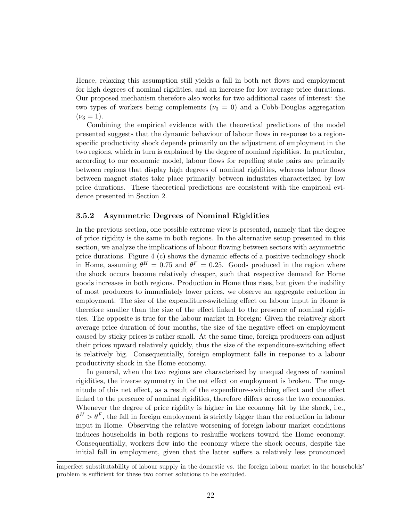Hence, relaxing this assumption still yields a fall in both net flows and employment for high degrees of nominal rigidities, and an increase for low average price durations. Our proposed mechanism therefore also works for two additional cases of interest: the two types of workers being complements ( $\nu_3 = 0$ ) and a Cobb-Douglas aggregation  $(\nu_3 = 1).$ 

Combining the empirical evidence with the theoretical predictions of the model presented suggests that the dynamic behaviour of labour flows in response to a regionspecific productivity shock depends primarily on the adjustment of employment in the two regions, which in turn is explained by the degree of nominal rigidities. In particular, according to our economic model, labour flows for repelling state pairs are primarily between regions that display high degrees of nominal rigidities, whereas labour flows between magnet states take place primarily between industries characterized by low price durations. These theoretical predictions are consistent with the empirical evidence presented in Section 2.

#### 3.5.2 Asymmetric Degrees of Nominal Rigidities

In the previous section, one possible extreme view is presented, namely that the degree of price rigidity is the same in both regions. In the alternative setup presented in this section, we analyze the implications of labour flowing between sectors with asymmetric price durations. Figure 4 (c) shows the dynamic effects of a positive technology shock in Home, assuming  $\theta^H = 0.75$  and  $\theta^F = 0.25$ . Goods produced in the region where the shock occurs become relatively cheaper, such that respective demand for Home goods increases in both regions. Production in Home thus rises, but given the inability of most producers to immediately lower prices, we observe an aggregate reduction in employment. The size of the expenditure-switching effect on labour input in Home is therefore smaller than the size of the effect linked to the presence of nominal rigidities. The opposite is true for the labour market in Foreign: Given the relatively short average price duration of four months, the size of the negative effect on employment caused by sticky prices is rather small. At the same time, foreign producers can adjust their prices upward relatively quickly, thus the size of the expenditure-switching effect is relatively big. Consequentially, foreign employment falls in response to a labour productivity shock in the Home economy.

In general, when the two regions are characterized by unequal degrees of nominal rigidities, the inverse symmetry in the net effect on employment is broken. The magnitude of this net effect, as a result of the expenditure-switching effect and the effect linked to the presence of nominal rigidities, therefore differs across the two economies. Whenever the degree of price rigidity is higher in the economy hit by the shock, i.e.,  $\theta^H > \theta^F$ , the fall in foreign employment is strictly bigger than the reduction in labour input in Home. Observing the relative worsening of foreign labour market conditions induces households in both regions to reshuffle workers toward the Home economy. Consequentially, workers flow into the economy where the shock occurs, despite the initial fall in employment, given that the latter suffers a relatively less pronounced

imperfect substitutability of labour supply in the domestic vs. the foreign labour market in the households' problem is sufficient for these two corner solutions to be excluded.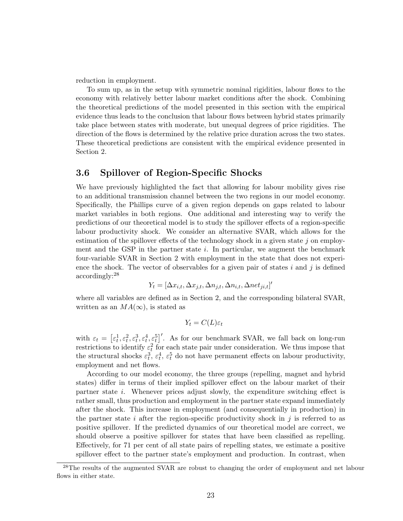reduction in employment.

To sum up, as in the setup with symmetric nominal rigidities, labour flows to the economy with relatively better labour market conditions after the shock. Combining the theoretical predictions of the model presented in this section with the empirical evidence thus leads to the conclusion that labour flows between hybrid states primarily take place between states with moderate, but unequal degrees of price rigidities. The direction of the flows is determined by the relative price duration across the two states. These theoretical predictions are consistent with the empirical evidence presented in Section 2.

#### 3.6 Spillover of Region-Specific Shocks

We have previously highlighted the fact that allowing for labour mobility gives rise to an additional transmission channel between the two regions in our model economy. Specifically, the Phillips curve of a given region depends on gaps related to labour market variables in both regions. One additional and interesting way to verify the predictions of our theoretical model is to study the spillover effects of a region-specific labour productivity shock. We consider an alternative SVAR, which allows for the estimation of the spillover effects of the technology shock in a given state  $j$  on employment and the GSP in the partner state  $i$ . In particular, we augment the benchmark four-variable SVAR in Section 2 with employment in the state that does not experience the shock. The vector of observables for a given pair of states i and j is defined accordingly:<sup>28</sup>

$$
Y_t = [\Delta x_{i,t}, \Delta x_{j,t}, \Delta n_{j,t}, \Delta n_{i,t}, \Delta n_{tj,t}]'
$$

where all variables are defined as in Section 2, and the corresponding bilateral SVAR, written as an  $MA(\infty)$ , is stated as

$$
Y_t = C(L)\varepsilon_t
$$

with  $\varepsilon_t = \left[\varepsilon_t^1, \varepsilon_t^2, \varepsilon_t^3, \varepsilon_t^4, \varepsilon_t^5\right]'$ . As for our benchmark SVAR, we fall back on long-run restrictions to identify  $\varepsilon_t^2$  for each state pair under consideration. We thus impose that the structural shocks  $\varepsilon_t^3$ ,  $\varepsilon_t^4$ ,  $\varepsilon_t^5$  do not have permanent effects on labour productivity, employment and net flows.

According to our model economy, the three groups (repelling, magnet and hybrid states) differ in terms of their implied spillover effect on the labour market of their partner state i. Whenever prices adjust slowly, the expenditure switching effect is rather small, thus production and employment in the partner state expand immediately after the shock. This increase in employment (and consequentially in production) in the partner state i after the region-specific productivity shock in j is referred to as positive spillover. If the predicted dynamics of our theoretical model are correct, we should observe a positive spillover for states that have been classified as repelling. Effectively, for 71 per cent of all state pairs of repelling states, we estimate a positive spillover effect to the partner state's employment and production. In contrast, when

<sup>&</sup>lt;sup>28</sup>The results of the augmented SVAR are robust to changing the order of employment and net labour flows in either state.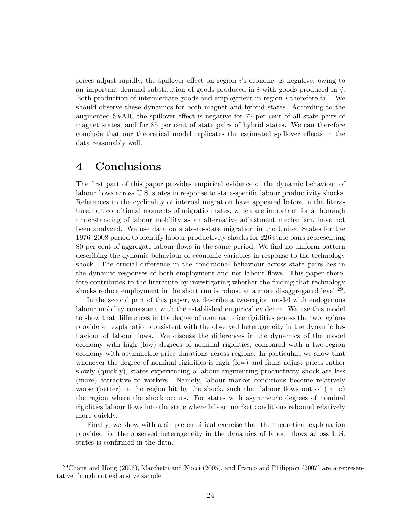prices adjust rapidly, the spillover effect on region  $i$ 's economy is negative, owing to an important demand substitution of goods produced in  $i$  with goods produced in  $j$ . Both production of intermediate goods and employment in region i therefore fall. We should observe these dynamics for both magnet and hybrid states. According to the augmented SVAR, the spillover effect is negative for 72 per cent of all state pairs of magnet states, and for 85 per cent of state pairs of hybrid states. We can therefore conclude that our theoretical model replicates the estimated spillover effects in the data reasonably well.

## 4 Conclusions

The first part of this paper provides empirical evidence of the dynamic behaviour of labour flows across U.S. states in response to state-specific labour productivity shocks. References to the cyclicality of internal migration have appeared before in the literature, but conditional moments of migration rates, which are important for a thorough understanding of labour mobility as an alternative adjustment mechanism, have not been analyzed. We use data on state-to-state migration in the United States for the 1976–2008 period to identify labour productivity shocks for 226 state pairs representing 80 per cent of aggregate labour flows in the same period. We find no uniform pattern describing the dynamic behaviour of economic variables in response to the technology shock. The crucial difference in the conditional behaviour across state pairs lies in the dynamic responses of both employment and net labour flows. This paper therefore contributes to the literature by investigating whether the finding that technology shocks reduce employment in the short run is robust at a more disaggregated level  $^{29}$ .

In the second part of this paper, we describe a two-region model with endogenous labour mobility consistent with the established empirical evidence. We use this model to show that differences in the degree of nominal price rigidities across the two regions provide an explanation consistent with the observed heterogeneity in the dynamic behaviour of labour flows. We discuss the differences in the dynamics of the model economy with high (low) degrees of nominal rigidities, compared with a two-region economy with asymmetric price durations across regions. In particular, we show that whenever the degree of nominal rigidities is high (low) and firms adjust prices rather slowly (quickly), states experiencing a labour-augmenting productivity shock are less (more) attractive to workers. Namely, labour market conditions become relatively worse (better) in the region hit by the shock, such that labour flows out of (in to) the region where the shock occurs. For states with asymmetric degrees of nominal rigidities labour flows into the state where labour market conditions rebound relatively more quickly.

Finally, we show with a simple empirical exercise that the theoretical explanation provided for the observed heterogeneity in the dynamics of labour flows across U.S. states is confirmed in the data.

 $^{29}$ Chang and Hong (2006), Marchetti and Nucci (2005), and Franco and Philippon (2007) are a representative though not exhaustive sample.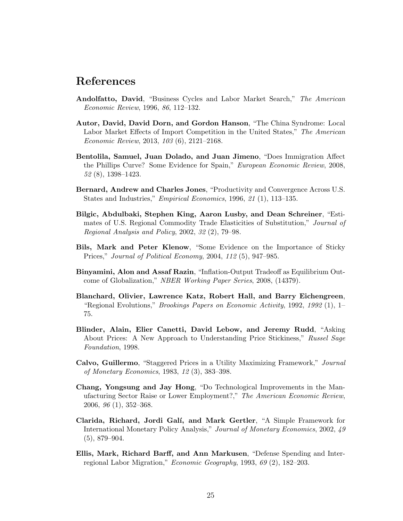### References

- Andolfatto, David, "Business Cycles and Labor Market Search," The American Economic Review, 1996, 86, 112–132.
- Autor, David, David Dorn, and Gordon Hanson, "The China Syndrome: Local Labor Market Effects of Import Competition in the United States," The American Economic Review, 2013, 103 (6), 2121–2168.
- Bentolila, Samuel, Juan Dolado, and Juan Jimeno, "Does Immigration Affect the Phillips Curve? Some Evidence for Spain," European Economic Review, 2008, 52 (8), 1398–1423.
- Bernard, Andrew and Charles Jones, "Productivity and Convergence Across U.S. States and Industries," Empirical Economics, 1996, 21 (1), 113–135.
- Bilgic, Abdulbaki, Stephen King, Aaron Lusby, and Dean Schreiner, "Estimates of U.S. Regional Commodity Trade Elasticities of Substitution," Journal of Regional Analysis and Policy, 2002, 32 (2), 79–98.
- Bils, Mark and Peter Klenow, "Some Evidence on the Importance of Sticky Prices," Journal of Political Economy, 2004, 112 (5), 947–985.
- Binyamini, Alon and Assaf Razin, "Inflation-Output Tradeoff as Equilibrium Outcome of Globalization," NBER Working Paper Series, 2008, (14379).
- Blanchard, Olivier, Lawrence Katz, Robert Hall, and Barry Eichengreen, "Regional Evolutions," Brookings Papers on Economic Activity, 1992, 1992 (1), 1– 75.
- Blinder, Alain, Elier Canetti, David Lebow, and Jeremy Rudd, "Asking About Prices: A New Approach to Understanding Price Stickiness," Russel Sage Foundation, 1998.
- Calvo, Guillermo, "Staggered Prices in a Utility Maximizing Framework," Journal of Monetary Economics, 1983, 12 (3), 383–398.
- Chang, Yongsung and Jay Hong, "Do Technological Improvements in the Manufacturing Sector Raise or Lower Employment?," The American Economic Review, 2006, 96 (1), 352–368.
- Clarida, Richard, Jordi Galí, and Mark Gertler, "A Simple Framework for International Monetary Policy Analysis," Journal of Monetary Economics, 2002, 49 (5), 879–904.
- Ellis, Mark, Richard Barff, and Ann Markusen, "Defense Spending and Interregional Labor Migration," Economic Geography, 1993, 69 (2), 182–203.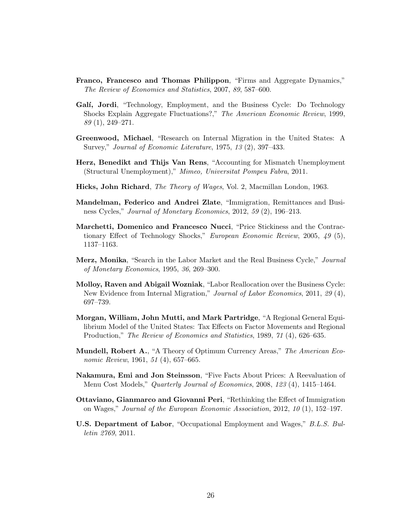- Franco, Francesco and Thomas Philippon, "Firms and Aggregate Dynamics," The Review of Economics and Statistics, 2007, 89, 587–600.
- Galí, Jordi, "Technology, Employment, and the Business Cycle: Do Technology Shocks Explain Aggregate Fluctuations?," The American Economic Review, 1999, 89 (1), 249–271.
- Greenwood, Michael, "Research on Internal Migration in the United States: A Survey," Journal of Economic Literature, 1975, 13 (2), 397–433.
- Herz, Benedikt and Thijs Van Rens, "Accounting for Mismatch Unemployment (Structural Unemployment)," Mimeo, Universitat Pompeu Fabra, 2011.
- Hicks, John Richard, The Theory of Wages, Vol. 2, Macmillan London, 1963.
- Mandelman, Federico and Andrei Zlate, "Immigration, Remittances and Business Cycles," Journal of Monetary Economics, 2012, 59 (2), 196–213.
- Marchetti, Domenico and Francesco Nucci, "Price Stickiness and the Contractionary Effect of Technology Shocks," European Economic Review, 2005, 49 (5), 1137–1163.
- Merz, Monika, "Search in the Labor Market and the Real Business Cycle," Journal of Monetary Economics, 1995, 36, 269–300.
- Molloy, Raven and Abigail Wozniak, "Labor Reallocation over the Business Cycle: New Evidence from Internal Migration," Journal of Labor Economics, 2011, 29 (4), 697–739.
- Morgan, William, John Mutti, and Mark Partridge, "A Regional General Equilibrium Model of the United States: Tax Effects on Factor Movements and Regional Production," The Review of Economics and Statistics, 1989, 71 (4), 626–635.
- Mundell, Robert A., "A Theory of Optimum Currency Areas," The American Economic Review, 1961, 51 (4), 657–665.
- Nakamura, Emi and Jon Steinsson, "Five Facts About Prices: A Reevaluation of Menu Cost Models," Quarterly Journal of Economics, 2008, 123 (4), 1415–1464.
- Ottaviano, Gianmarco and Giovanni Peri, "Rethinking the Effect of Immigration on Wages," Journal of the European Economic Association, 2012, 10 (1), 152–197.
- U.S. Department of Labor, "Occupational Employment and Wages," B.L.S. Bulletin 2769, 2011.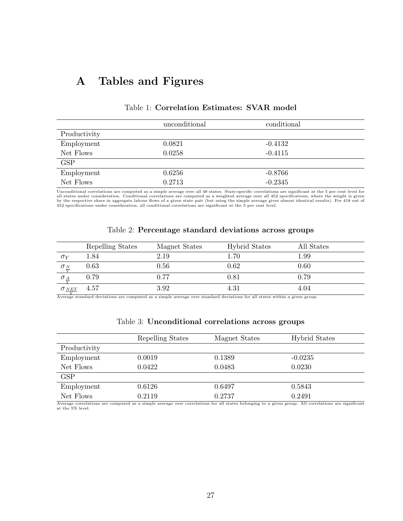# A Tables and Figures

|              | unconditional | conditional |
|--------------|---------------|-------------|
| Productivity |               |             |
| Employment   | 0.0821        | $-0.4132$   |
| Net Flows    | 0.0258        | $-0.4115$   |
| <b>GSP</b>   |               |             |
| Employment   | 0.6256        | $-0.8766$   |
| Net Flows    | 0.2713        | $-0.2345$   |

#### Table 1: Correlation Estimates: SVAR model

Unconditional correlations are computed as a simple average over all 48 states. State-specific correlations are significant at the 5 per cent level for<br>all states under consideration. Conditional correlations are computed by the respective share in aggregate labour flows of a given state pair (but using the simple average gives almost identical results). For 418 out of<br>452 specifications under consideration, all conditional correlations are

|                          | Repelling States | Magnet States | <b>Hybrid States</b> | All States |
|--------------------------|------------------|---------------|----------------------|------------|
| $\sigma_V$               | $1.84\,$         | 2.19          | $1.70\,$             | $1.99\,$   |
| $\sigma_{\frac{N}{Y}}$   | 0.63             | 0.56          | 0.62                 | 0.60       |
| $\sigma_{\frac{A}{Y}}$   | 0.79             | 0.77          | 0.81                 | 0.79       |
| $\sigma_{\frac{NET}{Y}}$ | 4.57             | $3.92\,$      | 4.31                 | 4.04       |

#### Table 2: Percentage standard deviations across groups

<u>V</u><br>Average standard deviations are computed as a simple average over standard deviations for all states within a given group.

|              | Repelling States | Magnet States | <b>Hybrid States</b> |
|--------------|------------------|---------------|----------------------|
| Productivity |                  |               |                      |
| Employment   | 0.0019           | 0.1389        | $-0.0235$            |
| Net Flows    | 0.0422           | 0.0483        | 0.0230               |
| <b>GSP</b>   |                  |               |                      |
| Employment   | 0.6126           | 0.6497        | 0.5843               |
| Net Flows    | 0.2119           | 0.2737        | 0.2491               |

#### Table 3: Unconditional correlations across groups

Average correlations are computed as a simple average over correlations for all states belonging to a given group. All correlations are significant at the 5% level.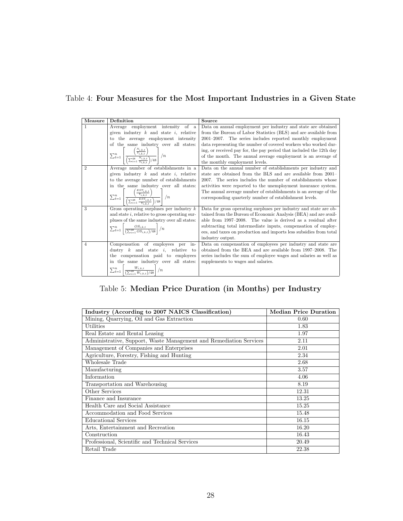|  |  |  |  |  |  | Table 4: Four Measures for the Most Important Industries in a Given State |  |  |  |  |  |
|--|--|--|--|--|--|---------------------------------------------------------------------------|--|--|--|--|--|
|--|--|--|--|--|--|---------------------------------------------------------------------------|--|--|--|--|--|

| Measure        | Definition                                                                                                                                             | Source                                                              |
|----------------|--------------------------------------------------------------------------------------------------------------------------------------------------------|---------------------------------------------------------------------|
| 1              | Average employment intensity of a                                                                                                                      | Data on annual employment per industry and state are obtained       |
|                | given industry $k$ and state $i$ , relative                                                                                                            | from the Bureau of Labor Statistics (BLS) and are available from    |
|                | to the average employment intensity                                                                                                                    | 2001–2007. The series includes reported monthly employment          |
|                | of the same industry over all states:                                                                                                                  | data representing the number of covered workers who worked dur-     |
|                | $\sum_{t=1}^{n} \left  \frac{\left(\frac{N_{i,k,t}}{Y_{i,k,t}}\right)}{\left(\sum_{i=1}^{48} \frac{N_{i,k,t}}{Y_{i,k,t}}\right)/48} \right  / n$       | ing, or received pay for, the pay period that included the 12th day |
|                |                                                                                                                                                        | of the month. The annual average employment is an average of        |
|                |                                                                                                                                                        | the monthly employment levels.                                      |
| $\overline{2}$ | Average number of establishments in a                                                                                                                  | Data on the annual number of establishments per industry and        |
|                | given industry $k$ and state $i$ , relative                                                                                                            | state are obtained from the BLS and are available from 2001-        |
|                | to the average number of establishments                                                                                                                | 2007. The series includes the number of establishments whose        |
|                | in the same industry over all states:                                                                                                                  | activities were reported to the unemployment insurance system.      |
|                |                                                                                                                                                        | The annual average number of establishments is an average of the    |
|                | $\sum_{t=1}^{n} \left\lfloor \frac{\left(\frac{EST_{i,k,t}}{Y_{i,k,t}}\right)}{\left(\sum_{s=1}^{48} \frac{EST_{i,k,t}}{X}\right)/48} \right\rfloor/n$ | corresponding quarterly number of establishment levels.             |
| 3              | Gross operating surpluses per industry $k$                                                                                                             | Data for gross operating surpluses per industry and state are ob-   |
|                | and state $i$ , relative to gross operating sur-                                                                                                       | tained from the Bureau of Economic Analysis (BEA) and are avail-    |
|                | pluses of the same industry over all states:                                                                                                           | able from 1997–2008. The value is derived as a residual after       |
|                | $\sum_{t=1}^{n} \left  \frac{OS_{i,k,t}}{(\sum_{i=1}^{48} OS_{i,k,t})/48} \right  / n$                                                                 | subtracting total intermediate inputs, compensation of employ-      |
|                |                                                                                                                                                        | ees, and taxes on production and imports less subsidies from total  |
|                |                                                                                                                                                        | industry output.                                                    |
| 4              | Compensation of employees per<br>in-                                                                                                                   | Data on compensation of employees per industry and state are        |
|                | dustry $k$ and state $i$ , relative to                                                                                                                 | obtained from the BEA and are available from 1997–2008. The         |
|                | the compensation paid to employees                                                                                                                     | series includes the sum of employee wages and salaries as well as   |
|                | in the same industry over all states:                                                                                                                  | supplements to wages and salaries.                                  |
|                | $\sum_{t=1}^{n} \left  \frac{W_{i,k,t}}{\left(\sum_{i=1}^{48} W_{i,k,t}\right)/48} \right  / n$                                                        |                                                                     |

Table 5: Median Price Duration (in Months) per Industry

| Industry (According to 2007 NAICS Classification)                  | <b>Median Price Duration</b> |
|--------------------------------------------------------------------|------------------------------|
| Mining, Quarrying, Oil and Gas Extraction                          | 0.60                         |
| Utilities                                                          | 1.83                         |
| Real Estate and Rental Leasing                                     | 1.97                         |
| Administrative, Support, Waste Management and Remediation Services | 2.11                         |
| Management of Companies and Enterprises                            | 2.01                         |
| Agriculture, Forestry, Fishing and Hunting                         | 2.34                         |
| Wholesale Trade                                                    | 2.68                         |
| Manufacturing                                                      | 3.57                         |
| Information                                                        | 4.06                         |
| Transportation and Warehousing                                     | 8.19                         |
| Other Services                                                     | 12.31                        |
| Finance and Insurance                                              | 13.25                        |
| Health Care and Social Assistance                                  | 15.25                        |
| Accommodation and Food Services                                    | 15.48                        |
| <b>Educational Services</b>                                        | 16.15                        |
| Arts, Entertainment and Recreation                                 | 16.20                        |
| Construction                                                       | 16.43                        |
| Professional, Scientific and Technical Services                    | 20.49                        |
| Retail Trade                                                       | 22.38                        |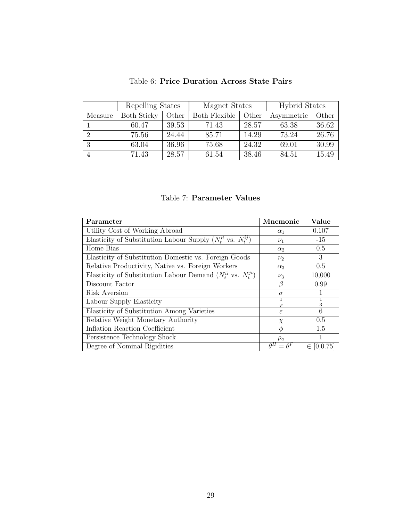|         | Repelling States   |       | Magnet States        |       | <b>Hybrid States</b> |       |  |
|---------|--------------------|-------|----------------------|-------|----------------------|-------|--|
| Measure | <b>Both Sticky</b> | Other | <b>Both Flexible</b> | Other | Asymmetric           | Other |  |
|         | 60.47              | 39.53 | 71.43                | 28.57 | 63.38                | 36.62 |  |
|         | 75.56              | 24.44 | 85.71                | 14.29 | 73.24                | 26.76 |  |
| 3       | 63.04              | 36.96 | 75.68                | 24.32 | 69.01                | 30.99 |  |
|         | 71.43              | 28.57 | 61.54                | 38.46 | 84.51                | 15.49 |  |

| Table 6: Price Duration Across State Pairs |  |
|--------------------------------------------|--|
|--------------------------------------------|--|

#### Table 7: Parameter Values

| Parameter                                                            | Mnemonic           | Value             |
|----------------------------------------------------------------------|--------------------|-------------------|
| Utility Cost of Working Abroad                                       | $\alpha_1$         | 0.107             |
| Elasticity of Substitution Labour Supply $(N_t^{ii}$ vs. $N_t^{ij})$ | $\nu_1$            | $-15$             |
| Home-Bias                                                            | $\alpha_2$         | 0.5               |
| Elasticity of Substitution Domestic vs. Foreign Goods                | $\nu_2$            | 3                 |
| Relative Productivity, Native vs. Foreign Workers                    | $\alpha_3$         | 0.5               |
| Elasticity of Substitution Labour Demand $(N_t^{ii}$ vs. $N_t^{j}$   | $\nu_3$            | 10,000            |
| Discount Factor                                                      | В                  | 0.99              |
| Risk Aversion                                                        | $\sigma$           |                   |
| Labour Supply Elasticity                                             |                    | $\frac{1}{3}$     |
| Elasticity of Substitution Among Varieties                           | $\epsilon$         | 6                 |
| Relative Weight Monetary Authority                                   | $\chi$             | 0.5               |
| Inflation Reaction Coefficient                                       | $\phi$             | 1.5               |
| Persistence Technology Shock                                         | $\rho_a$           |                   |
| Degree of Nominal Rigidities                                         | $= \theta^F$<br>AН | $\in$<br>[0.0.75] |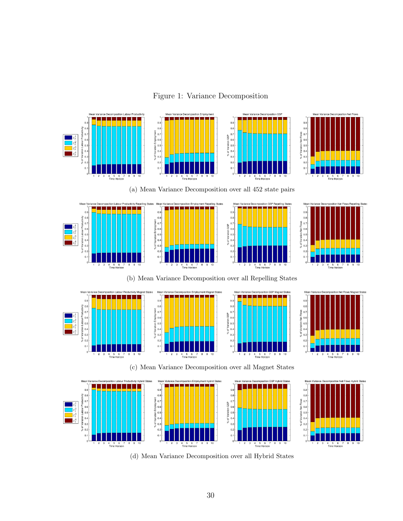Figure 1: Variance Decomposition











(b) Mean Variance Decomposition over all Repelling States









Hybrid State

(c) Mean Variance Decomposition over all Magnet States Mean Va whrid States nt Hybrid State Mean Var ion GSP Hybrid St Mean Var  $0.9$  $0.9$  $0.8$ <br> $0.7$  $0.8$  $\frac{1}{2}$  0.8  $0.8$  $0.7$  $\frac{2}{5}$  0.7 8<br>
% of Variation GSP<br>
8<br>
∞ 0.4<br>
0.4<br>
0.4<br>
0.4<br>
0.4 % of Variation Net Flow<br>0<br>3<br>3<br>4<br>5<br>5<br>5<br>5<br>5  $\frac{\varepsilon_t^2}{\varepsilon_t^3}$  $_{0.3}$  $_{0.3}$  $_{0.3}$  $0.2$  $0.2$  $0.1$  $0.1$  $0.1$  $0.1$ 4 5 6 7<br>Time Horizon 4 5 6 7<br>Time Horizon 4 5 6 7<br>Time Horizon 4 о о.<br>Time Horizon

(d) Mean Variance Decomposition over all Hybrid States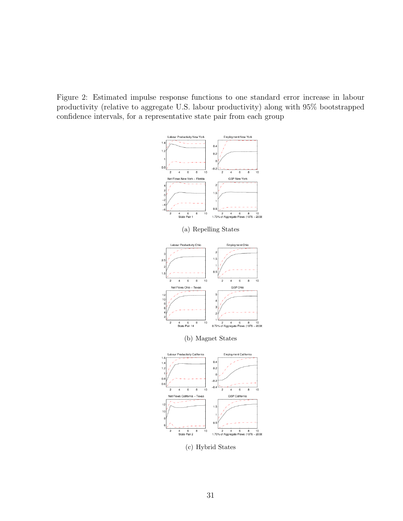Figure 2: Estimated impulse response functions to one standard error increase in labour productivity (relative to aggregate U.S. labour productivity) along with 95% bootstrapped confidence intervals, for a representative state pair from each group





(b) Magnet States

 $\frac{4}{2}$  $\overline{2}$ 



(c) Hybrid States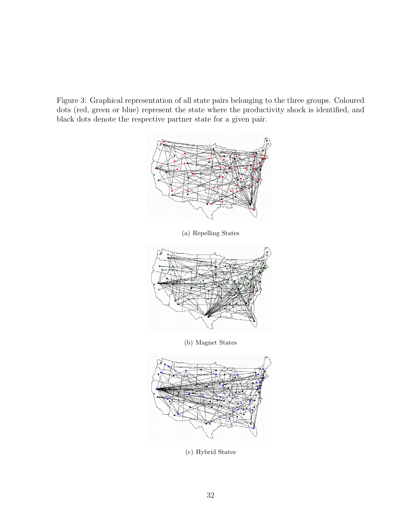Figure 3: Graphical representation of all state pairs belonging to the three groups. Coloured dots (red, green or blue) represent the state where the productivity shock is identified, and black dots denote the respective partner state for a given pair.



(a) Repelling States



(b) Magnet States



(c) Hybrid States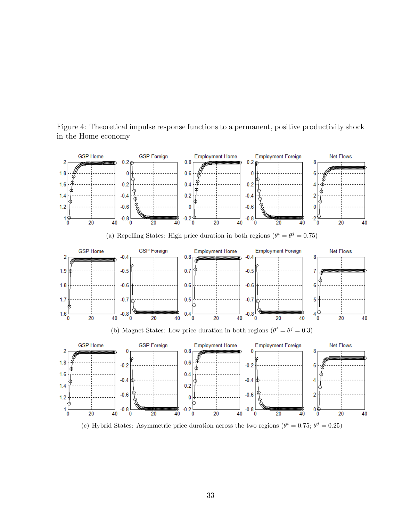Figure 4: Theoretical impulse response functions to a permanent, positive productivity shock in the Home economy